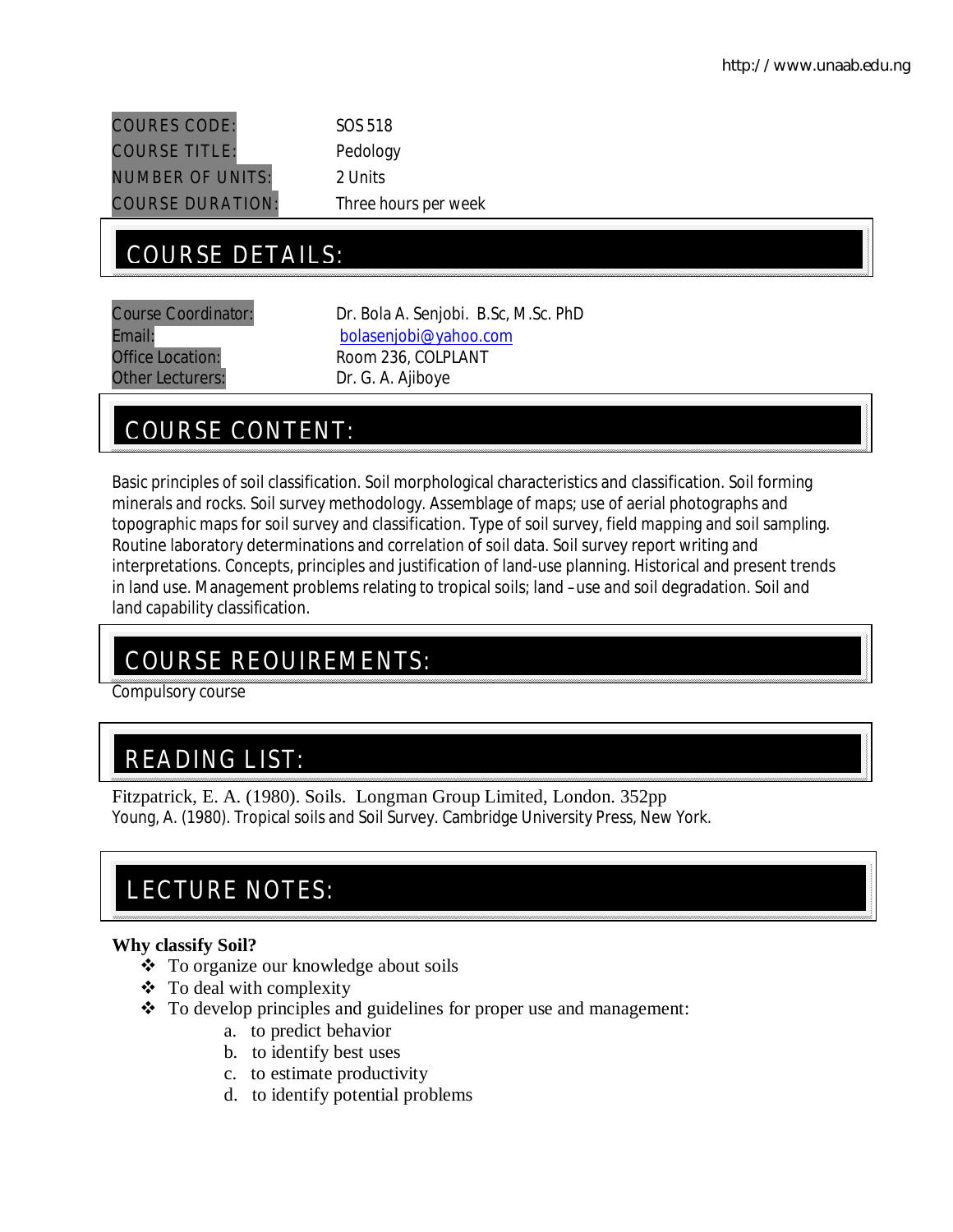| <b>COURES CODE:</b>     |
|-------------------------|
| <b>COURSE TITLE:</b>    |
| <b>NUMBER OF UNITS:</b> |
| <b>COURSE DURATION:</b> |

COURES CODE: *SOS 518* Pedology NUMBER OF UNITS: *2 Units* **Three hours per week** 

# COURSE DETAILS:

Other Lecturers: Dr. G. A. Ajiboye

Course Coordinator: Dr. Bola A. Senjobi. *B.Sc, M.Sc. PhD* Email: bolasenjobi@yahoo.com Office Location: Room 236, COLPLANT

# COURSE CONTENT:

Basic principles of soil classification. Soil morphological characteristics and classification. Soil forming minerals and rocks. Soil survey methodology. Assemblage of maps; use of aerial photographs and topographic maps for soil survey and classification. Type of soil survey, field mapping and soil sampling. Routine laboratory determinations and correlation of soil data. Soil survey report writing and interpretations. Concepts, principles and justification of land-use planning. Historical and present trends in land use. Management problems relating to tropical soils; land –use and soil degradation. Soil and land capability classification.

# COURSE REQUIREMENTS:

Compulsory course

# READING LIST:

Fitzpatrick, E. A. (1980). Soils. Longman Group Limited, London. 352pp Young, A. (1980). Tropical soils and Soil Survey. Cambridge University Press, New York.

# LECTURE NOTES:

# **Why classify Soil?**

- To organize our knowledge about soils
- $\bullet$  To deal with complexity
- To develop principles and guidelines for proper use and management:
	- a. to predict behavior
	- b. to identify best uses
	- c. to estimate productivity
	- d. to identify potential problems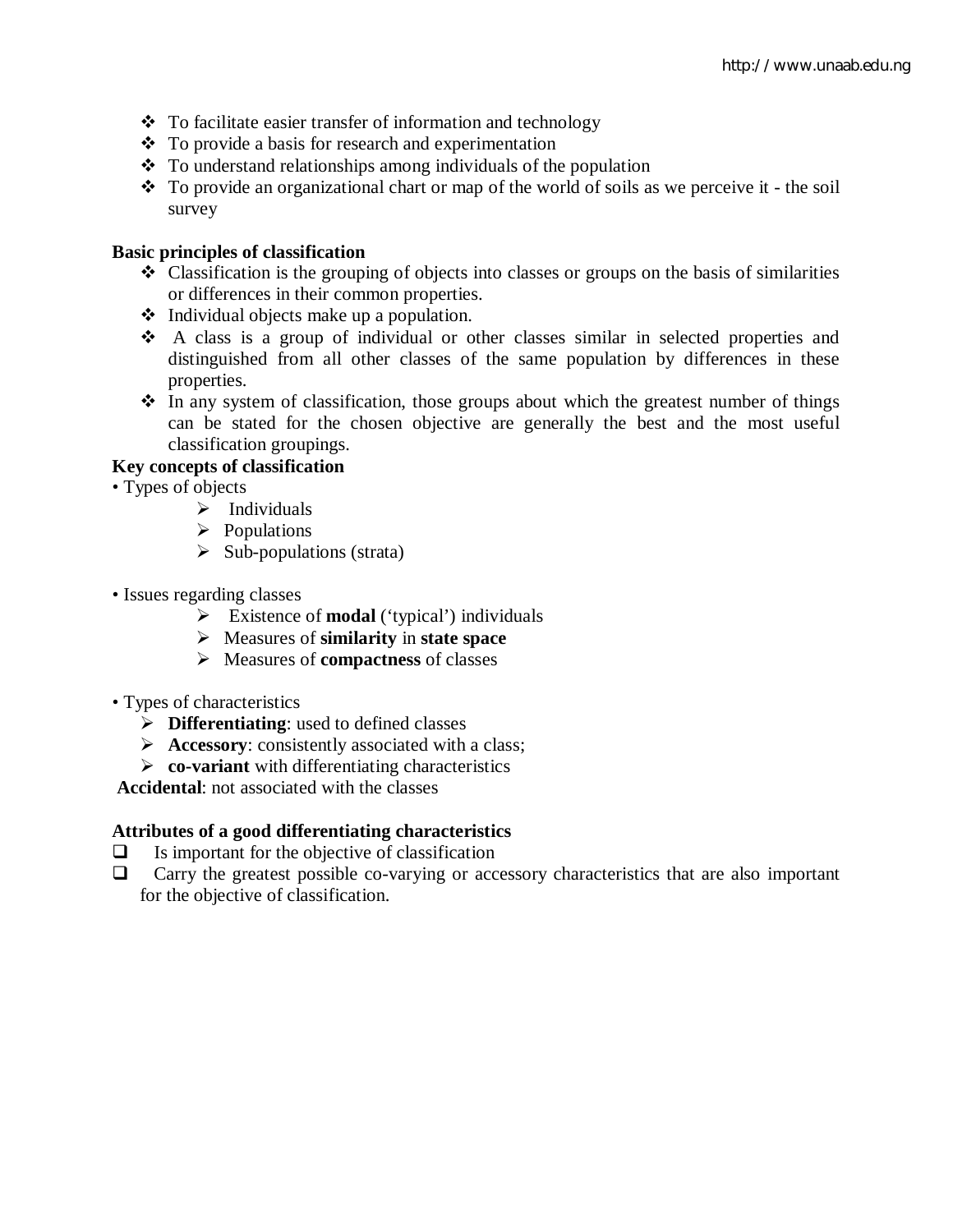- To facilitate easier transfer of information and technology
- $\cdot \cdot$  To provide a basis for research and experimentation
- $\cdot \cdot$  To understand relationships among individuals of the population
- $\cdot \cdot$  To provide an organizational chart or map of the world of soils as we perceive it the soil survey

### **Basic principles of classification**

- Classification is the grouping of objects into classes or groups on the basis of similarities or differences in their common properties.
- Individual objects make up a population.
- A class is a group of individual or other classes similar in selected properties and distinguished from all other classes of the same population by differences in these properties.
- $\cdot$  In any system of classification, those groups about which the greatest number of things can be stated for the chosen objective are generally the best and the most useful classification groupings.

#### **Key concepts of classification**

- Types of objects
	- $\triangleright$  Individuals
	- $\triangleright$  Populations
	- $\triangleright$  Sub-populations (strata)
- Issues regarding classes
	- Existence of **modal** ('typical') individuals
	- Measures of **similarity** in **state space**
	- Measures of **compactness** of classes
- Types of characteristics
	- **Differentiating**: used to defined classes
	- Accessory: consistently associated with a class;
	- **co-variant** with differentiating characteristics

**Accidental**: not associated with the classes

# **Attributes of a good differentiating characteristics**

- $\Box$  Is important for the objective of classification
- $\Box$  Carry the greatest possible co-varying or accessory characteristics that are also important for the objective of classification.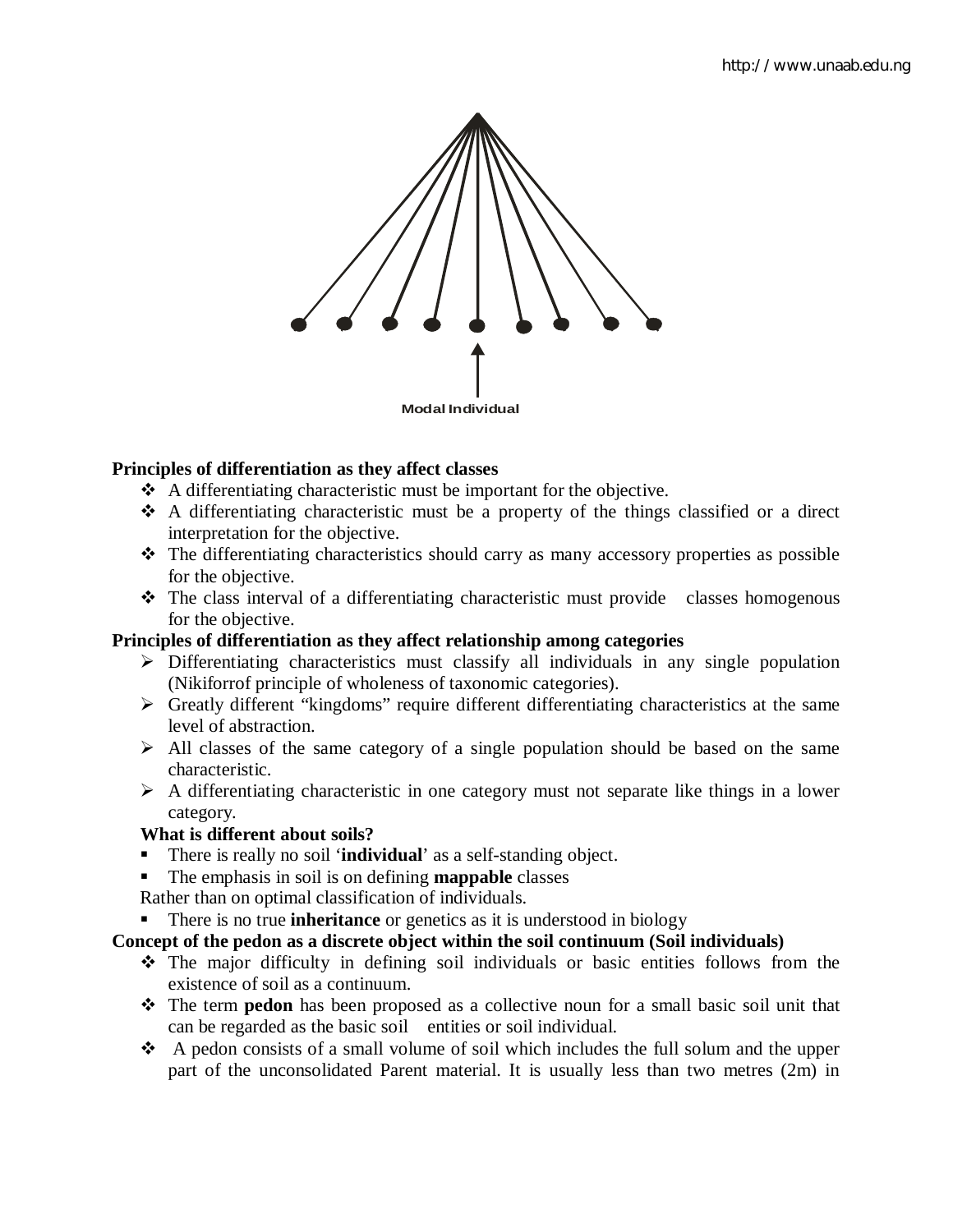

# **Principles of differentiation as they affect classes**

- $\triangle$  A differentiating characteristic must be important for the objective.
- A differentiating characteristic must be a property of the things classified or a direct interpretation for the objective.
- The differentiating characteristics should carry as many accessory properties as possible for the objective.
- $\cdot \cdot$  The class interval of a differentiating characteristic must provide classes homogenous for the objective.

# **Principles of differentiation as they affect relationship among categories**

- $\triangleright$  Differentiating characteristics must classify all individuals in any single population (Nikiforrof principle of wholeness of taxonomic categories).
- $\triangleright$  Greatly different "kingdoms" require different differentiating characteristics at the same level of abstraction.
- $\triangleright$  All classes of the same category of a single population should be based on the same characteristic.
- $\triangleright$  A differentiating characteristic in one category must not separate like things in a lower category.

# **What is different about soils?**

- There is really no soil '**individual**' as a self-standing object.
- The emphasis in soil is on defining **mappable** classes

Rather than on optimal classification of individuals.

# ■ There is no true **inheritance** or genetics as it is understood in biology

# **Concept of the pedon as a discrete object within the soil continuum (Soil individuals)**

- The major difficulty in defining soil individuals or basic entities follows from the existence of soil as a continuum.
- The term **pedon** has been proposed as a collective noun for a small basic soil unit that can be regarded as the basic soil entities or soil individual.
- $\bullet$  A pedon consists of a small volume of soil which includes the full solum and the upper part of the unconsolidated Parent material. It is usually less than two metres (2m) in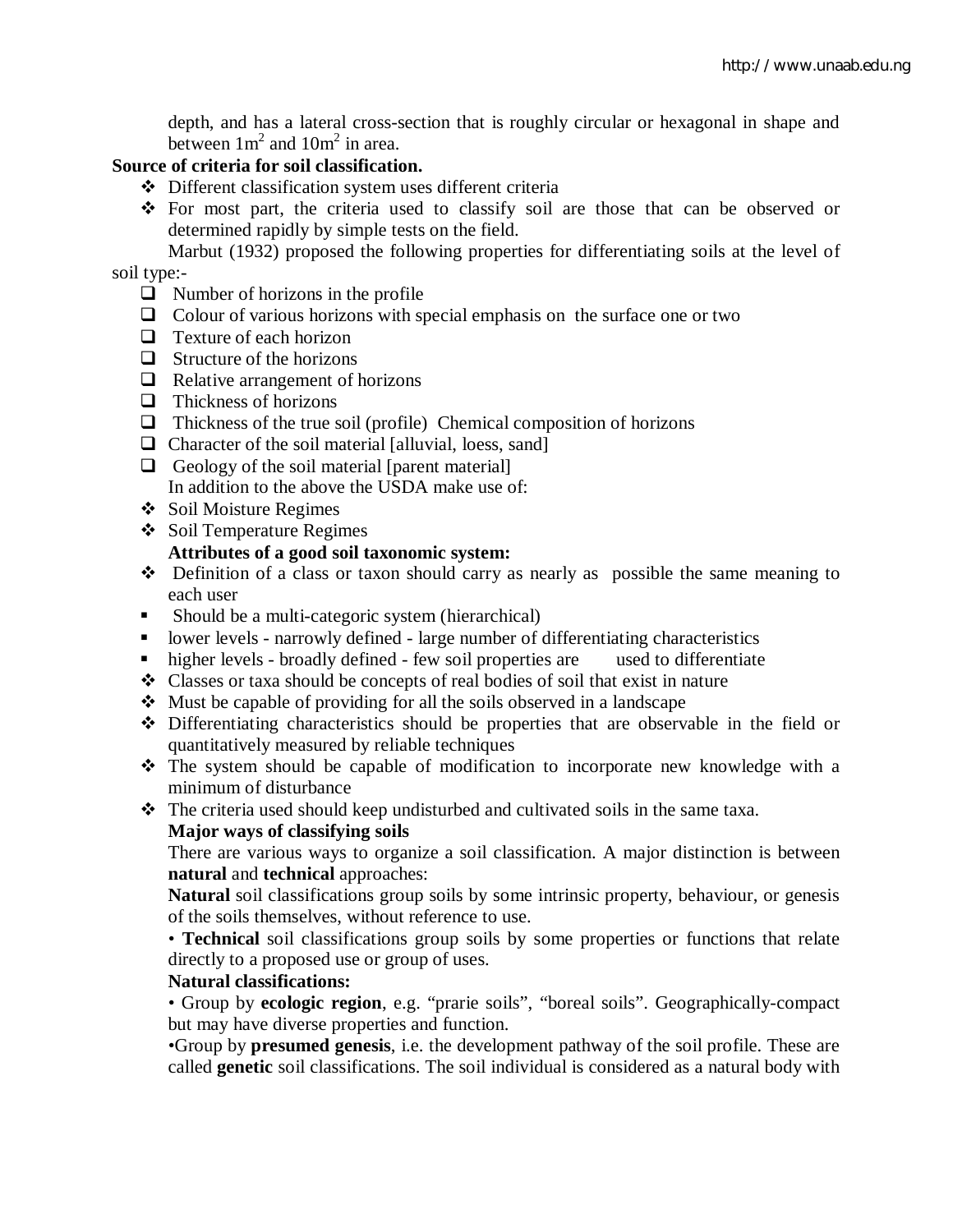depth, and has a lateral cross-section that is roughly circular or hexagonal in shape and between  $1 \text{ m}^2$  and  $10 \text{ m}^2$  in area.

# **Source of criteria for soil classification.**

- Different classification system uses different criteria
- For most part, the criteria used to classify soil are those that can be observed or determined rapidly by simple tests on the field.

Marbut (1932) proposed the following properties for differentiating soils at the level of soil type:-

- $\Box$  Number of horizons in the profile
- $\Box$  Colour of various horizons with special emphasis on the surface one or two
- $\Box$  Texture of each horizon
- $\Box$  Structure of the horizons
- $\Box$  Relative arrangement of horizons
- $\Box$  Thickness of horizons
- $\Box$  Thickness of the true soil (profile) Chemical composition of horizons
- $\Box$  Character of the soil material [alluvial, loess, sand]
- $\Box$  Geology of the soil material [parent material] In addition to the above the USDA make use of:
- ❖ Soil Moisture Regimes
- ❖ Soil Temperature Regimes

# **Attributes of a good soil taxonomic system:**

- Definition of a class or taxon should carry as nearly as possible the same meaning to each user
- Should be a multi-categoric system (hierarchical)
- **If** lower levels narrowly defined large number of differentiating characteristics
- higher levels broadly defined few soil properties are used to differentiate
- Classes or taxa should be concepts of real bodies of soil that exist in nature
- $\triangleleft$  Must be capable of providing for all the soils observed in a landscape
- Differentiating characteristics should be properties that are observable in the field or quantitatively measured by reliable techniques
- $\hat{\cdot}$  The system should be capable of modification to incorporate new knowledge with a minimum of disturbance
- $\hat{\mathbf{v}}$  The criteria used should keep undisturbed and cultivated soils in the same taxa.

# **Major ways of classifying soils**

There are various ways to organize a soil classification. A major distinction is between **natural** and **technical** approaches:

**Natural** soil classifications group soils by some intrinsic property, behaviour, or genesis of the soils themselves, without reference to use.

*•* **Technical** soil classifications group soils by some properties or functions that relate directly to a proposed use or group of uses.

# **Natural classifications:**

*•* Group by **ecologic region**, e.g. "prarie soils", "boreal soils". Geographically-compact but may have diverse properties and function.

*•*Group by **presumed genesis**, i.e. the development pathway of the soil profile. These are called **genetic** soil classifications. The soil individual is considered as a natural body with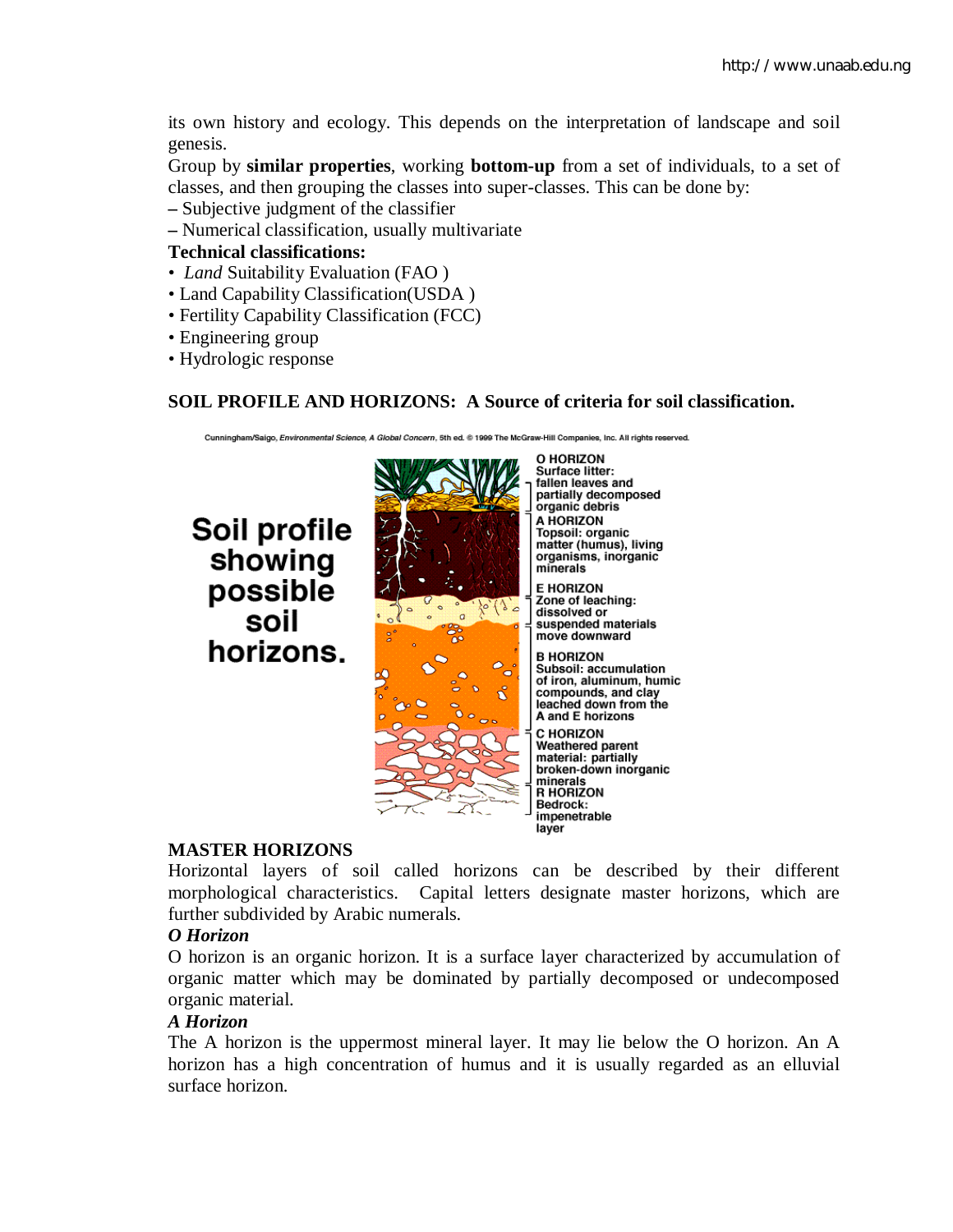its own history and ecology. This depends on the interpretation of landscape and soil genesis.

Group by **similar properties**, working **bottom-up** from a set of individuals, to a set of classes, and then grouping the classes into super-classes. This can be done by:

- **–** Subjective judgment of the classifier
- **–** Numerical classification, usually multivariate

#### **Technical classifications:**

- *Land* Suitability Evaluation (FAO )
- Land Capability Classification(USDA )
- Fertility Capability Classification (FCC)
- Engineering group
- Hydrologic response

#### **SOIL PROFILE AND HORIZONS: A Source of criteria for soil classification.**

Cunningham/Saigo, Environmental Science, A Global Concern, 5th ed. @ 1999 The McGraw-Hill Companies, Inc. All rights reserved.

# Soil profile showing possible soil horizons.



**MASTER HORIZONS** 

Horizontal layers of soil called horizons can be described by their different morphological characteristics. Capital letters designate master horizons, which are further subdivided by Arabic numerals.

#### *O Horizon*

O horizon is an organic horizon. It is a surface layer characterized by accumulation of organic matter which may be dominated by partially decomposed or undecomposed organic material.

#### *A Horizon*

The A horizon is the uppermost mineral layer. It may lie below the O horizon. An A horizon has a high concentration of humus and it is usually regarded as an elluvial surface horizon.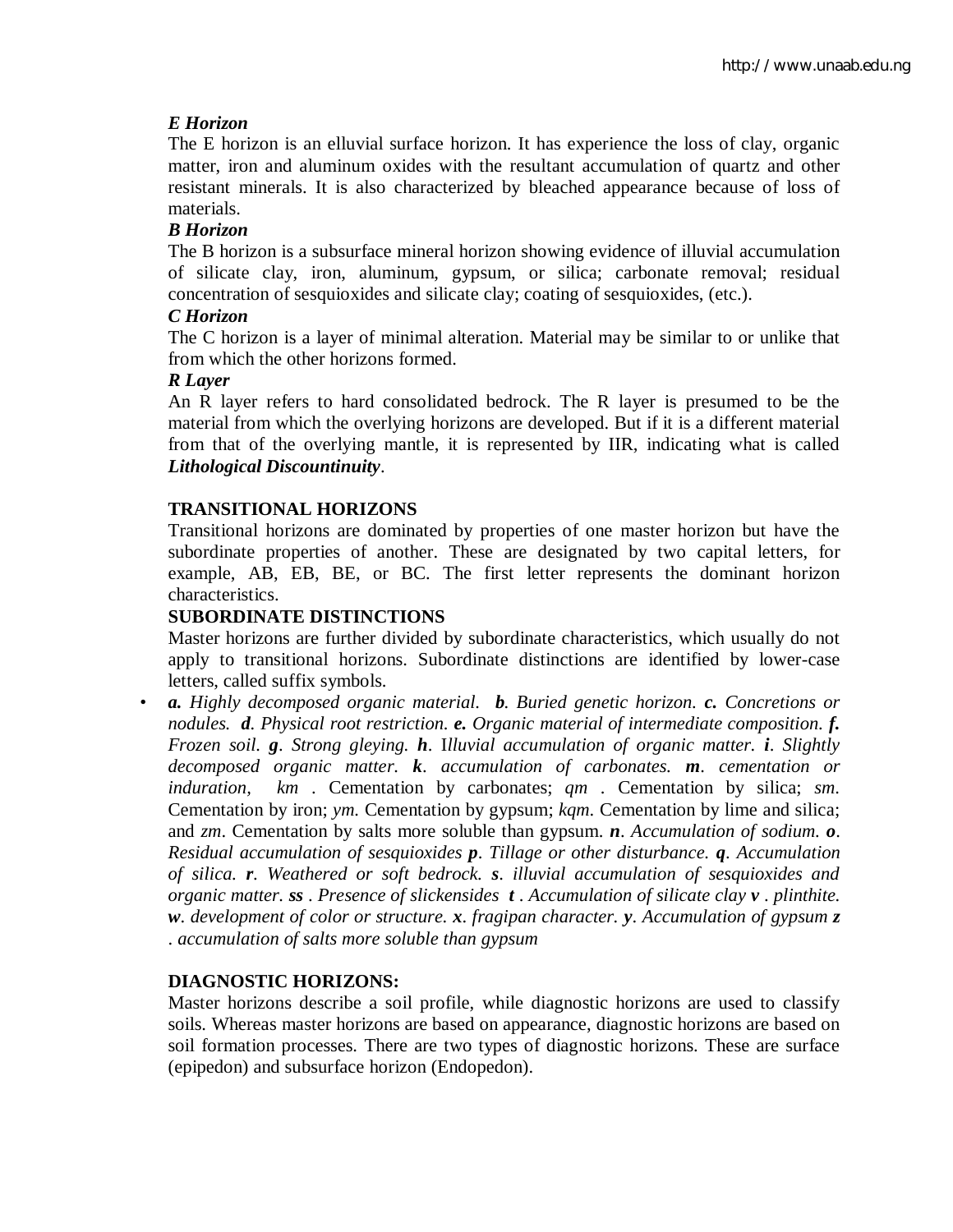# *E Horizon*

The E horizon is an elluvial surface horizon. It has experience the loss of clay, organic matter, iron and aluminum oxides with the resultant accumulation of quartz and other resistant minerals. It is also characterized by bleached appearance because of loss of materials.

#### *B Horizon*

The B horizon is a subsurface mineral horizon showing evidence of illuvial accumulation of silicate clay, iron, aluminum, gypsum, or silica; carbonate removal; residual concentration of sesquioxides and silicate clay; coating of sesquioxides, (etc.).

#### *C Horizon*

The C horizon is a layer of minimal alteration. Material may be similar to or unlike that from which the other horizons formed.

#### *R Layer*

An R layer refers to hard consolidated bedrock. The R layer is presumed to be the material from which the overlying horizons are developed. But if it is a different material from that of the overlying mantle, it is represented by IIR, indicating what is called *Lithological Discountinuity*.

#### **TRANSITIONAL HORIZONS**

Transitional horizons are dominated by properties of one master horizon but have the subordinate properties of another. These are designated by two capital letters, for example, AB, EB, BE, or BC. The first letter represents the dominant horizon characteristics.

# **SUBORDINATE DISTINCTIONS**

Master horizons are further divided by subordinate characteristics, which usually do not apply to transitional horizons. Subordinate distinctions are identified by lower-case letters, called suffix symbols.

• *a. Highly decomposed organic material. b. Buried genetic horizon. c. Concretions or nodules. d. Physical root restriction. e. Organic material of intermediate composition. f. Frozen soil. g*. *Strong gleying. h*. I*lluvial accumulation of organic matter. i*. *Slightly decomposed organic matter. k*. *accumulation of carbonates. m*. *cementation or induration, km* . Cementation by carbonates; *qm* . Cementation by silica; *sm*. Cementation by iron; *ym.* Cementation by gypsum; *kqm*. Cementation by lime and silica; and *zm*. Cementation by salts more soluble than gypsum. *n*. *Accumulation of sodium. o*. *Residual accumulation of sesquioxides p*. *Tillage or other disturbance. q*. *Accumulation of silica. r*. *Weathered or soft bedrock. s*. *illuvial accumulation of sesquioxides and organic matter. ss* . *Presence of slickensides t* . *Accumulation of silicate clay v* . *plinthite. w*. *development of color or structure. x*. *fragipan character. y*. *Accumulation of gypsum z* . *accumulation of salts more soluble than gypsum*

#### **DIAGNOSTIC HORIZONS:**

Master horizons describe a soil profile, while diagnostic horizons are used to classify soils. Whereas master horizons are based on appearance, diagnostic horizons are based on soil formation processes. There are two types of diagnostic horizons. These are surface (epipedon) and subsurface horizon (Endopedon).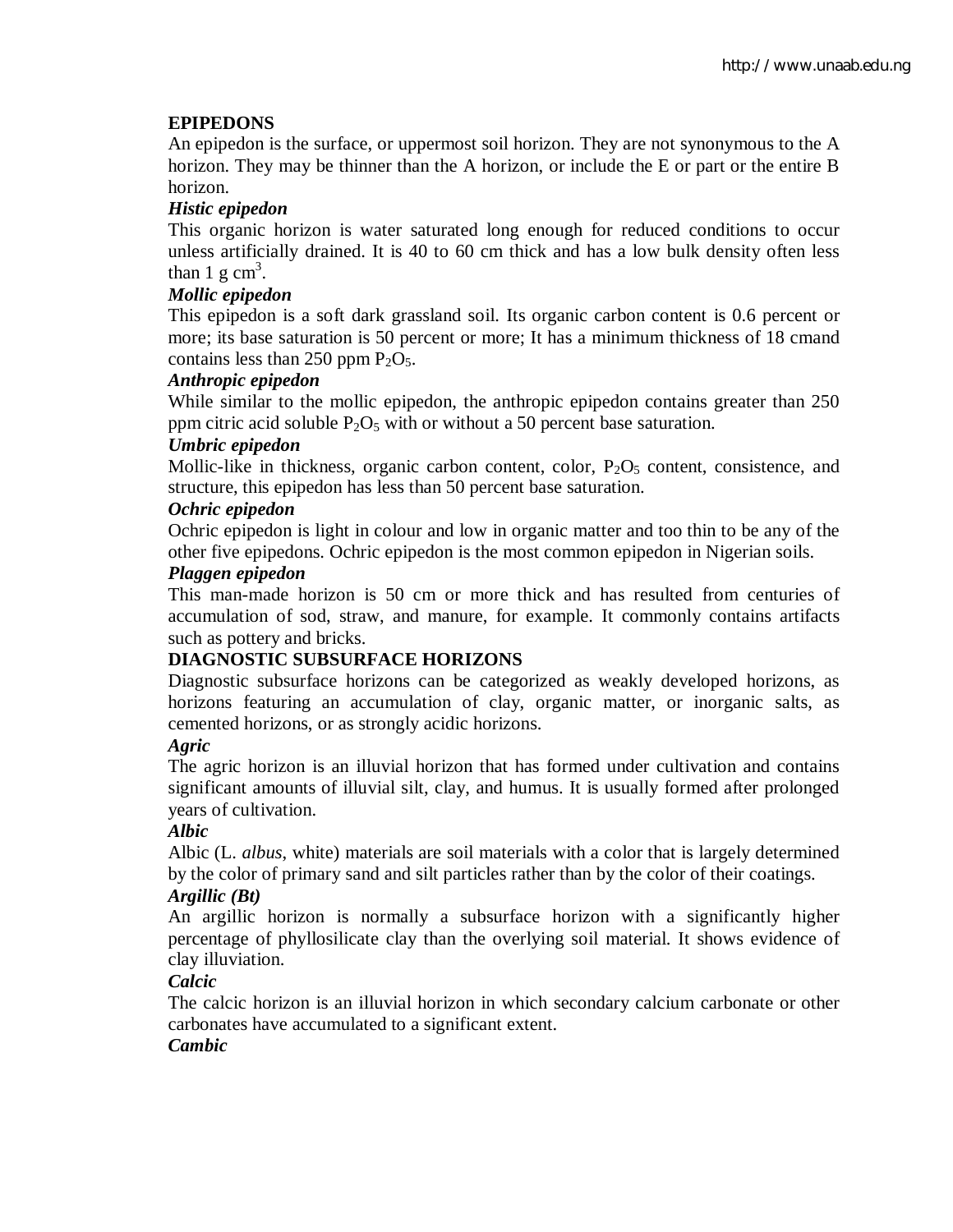### **EPIPEDONS**

An epipedon is the surface, or uppermost soil horizon. They are not synonymous to the A horizon. They may be thinner than the A horizon, or include the E or part or the entire B horizon.

#### *Histic epipedon*

This organic horizon is water saturated long enough for reduced conditions to occur unless artificially drained. It is 40 to 60 cm thick and has a low bulk density often less than 1 g cm<sup>3</sup>.

#### *Mollic epipedon*

This epipedon is a soft dark grassland soil. Its organic carbon content is 0.6 percent or more; its base saturation is 50 percent or more; It has a minimum thickness of 18 cmand contains less than 250 ppm  $P_2O_5$ .

#### *Anthropic epipedon*

While similar to the mollic epipedon, the anthropic epipedon contains greater than 250 ppm citric acid soluble  $P_2O_5$  with or without a 50 percent base saturation.

#### *Umbric epipedon*

Mollic-like in thickness, organic carbon content, color,  $P_2O_5$  content, consistence, and structure, this epipedon has less than 50 percent base saturation.

#### *Ochric epipedon*

Ochric epipedon is light in colour and low in organic matter and too thin to be any of the other five epipedons. Ochric epipedon is the most common epipedon in Nigerian soils.

#### *Plaggen epipedon*

This man-made horizon is 50 cm or more thick and has resulted from centuries of accumulation of sod, straw, and manure, for example. It commonly contains artifacts such as pottery and bricks.

#### **DIAGNOSTIC SUBSURFACE HORIZONS**

Diagnostic subsurface horizons can be categorized as weakly developed horizons, as horizons featuring an accumulation of clay, organic matter, or inorganic salts, as cemented horizons, or as strongly acidic horizons.

#### *Agric*

The agric horizon is an illuvial horizon that has formed under cultivation and contains significant amounts of illuvial silt, clay, and humus. It is usually formed after prolonged years of cultivation.

#### *Albic*

Albic (L. *albus*, white) materials are soil materials with a color that is largely determined by the color of primary sand and silt particles rather than by the color of their coatings.

### *Argillic (Bt)*

An argillic horizon is normally a subsurface horizon with a significantly higher percentage of phyllosilicate clay than the overlying soil material. It shows evidence of clay illuviation.

#### *Calcic*

The calcic horizon is an illuvial horizon in which secondary calcium carbonate or other carbonates have accumulated to a significant extent.

#### *Cambic*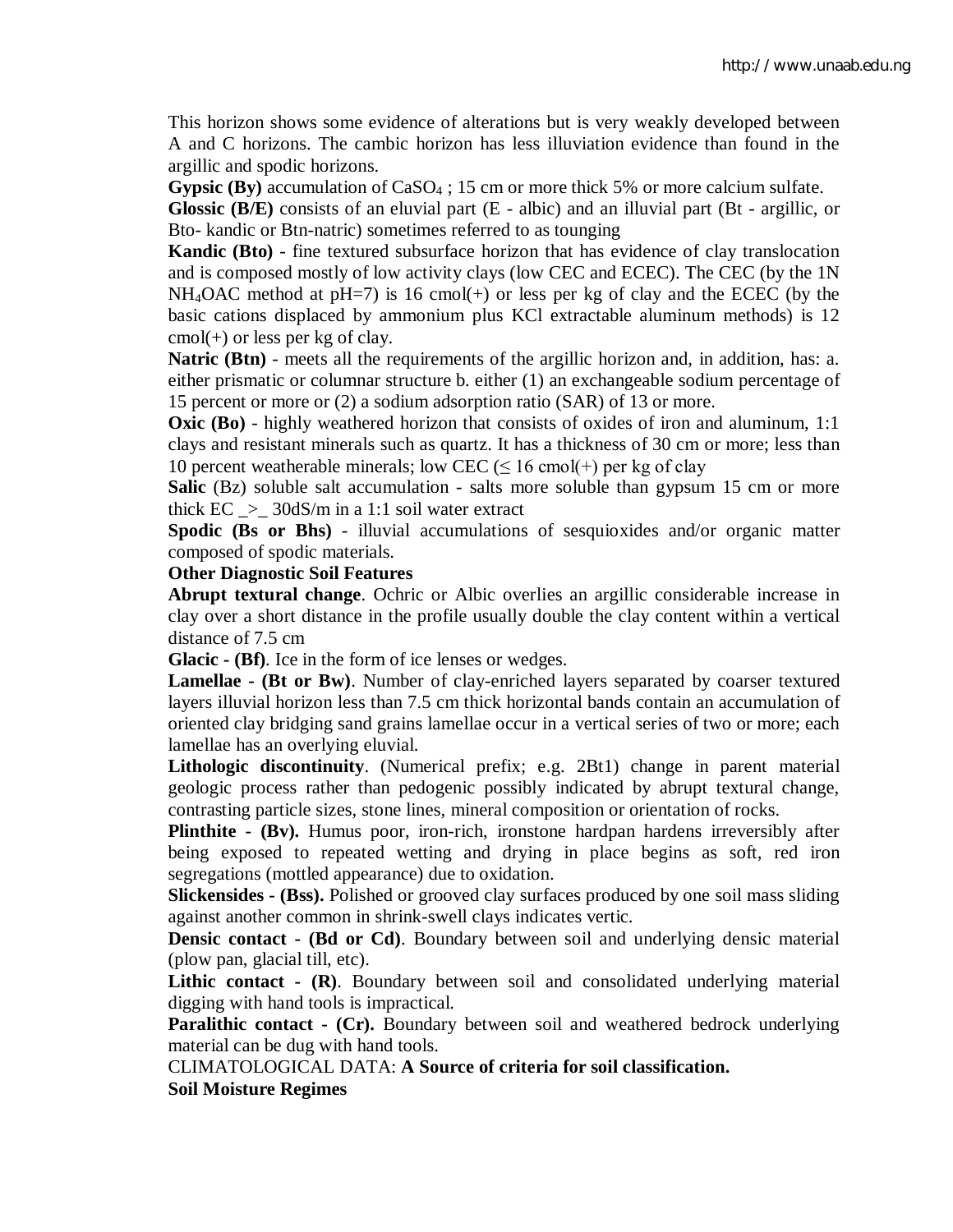This horizon shows some evidence of alterations but is very weakly developed between A and C horizons. The cambic horizon has less illuviation evidence than found in the argillic and spodic horizons.

**Gypsic (By)** accumulation of CaSO<sup>4</sup> ; 15 cm or more thick 5% or more calcium sulfate.

**Glossic (B/E)** consists of an eluvial part (E - albic) and an illuvial part (Bt - argillic, or Bto- kandic or Btn-natric) sometimes referred to as tounging

**Kandic (Bto)** - fine textured subsurface horizon that has evidence of clay translocation and is composed mostly of low activity clays (low CEC and ECEC). The CEC (by the 1N  $NH<sub>4</sub>OAC$  method at  $pH=7$ ) is 16 cmol(+) or less per kg of clay and the ECEC (by the basic cations displaced by ammonium plus KCl extractable aluminum methods) is 12  $cmol(+)$  or less per kg of clay.

Natric (Btn) - meets all the requirements of the argillic horizon and, in addition, has: a. either prismatic or columnar structure b. either (1) an exchangeable sodium percentage of 15 percent or more or (2) a sodium adsorption ratio (SAR) of 13 or more.

**Oxic (Bo)** - highly weathered horizon that consists of oxides of iron and aluminum, 1:1 clays and resistant minerals such as quartz. It has a thickness of 30 cm or more; less than 10 percent weatherable minerals; low CEC ( $\leq$  16 cmol(+) per kg of clay

**Salic** (Bz) soluble salt accumulation - salts more soluble than gypsum 15 cm or more thick  $EC \geq 30$ dS/m in a 1:1 soil water extract

**Spodic (Bs or Bhs)** - illuvial accumulations of sesquioxides and/or organic matter composed of spodic materials.

#### **Other Diagnostic Soil Features**

**Abrupt textural change**. Ochric or Albic overlies an argillic considerable increase in clay over a short distance in the profile usually double the clay content within a vertical distance of 7.5 cm

**Glacic - (Bf)**. Ice in the form of ice lenses or wedges.

**Lamellae - (Bt or Bw)**. Number of clay-enriched layers separated by coarser textured layers illuvial horizon less than 7.5 cm thick horizontal bands contain an accumulation of oriented clay bridging sand grains lamellae occur in a vertical series of two or more; each lamellae has an overlying eluvial.

**Lithologic discontinuity**. (Numerical prefix; e.g. 2Bt1) change in parent material geologic process rather than pedogenic possibly indicated by abrupt textural change, contrasting particle sizes, stone lines, mineral composition or orientation of rocks.

**Plinthite - (Bv).** Humus poor, iron-rich, ironstone hardpan hardens irreversibly after being exposed to repeated wetting and drying in place begins as soft, red iron segregations (mottled appearance) due to oxidation.

**Slickensides - (Bss).** Polished or grooved clay surfaces produced by one soil mass sliding against another common in shrink-swell clays indicates vertic.

**Densic contact - (Bd or Cd)**. Boundary between soil and underlying densic material (plow pan, glacial till, etc).

**Lithic contact - (R)**. Boundary between soil and consolidated underlying material digging with hand tools is impractical.

**Paralithic contact - (Cr).** Boundary between soil and weathered bedrock underlying material can be dug with hand tools.

CLIMATOLOGICAL DATA: **A Source of criteria for soil classification.**

**Soil Moisture Regimes**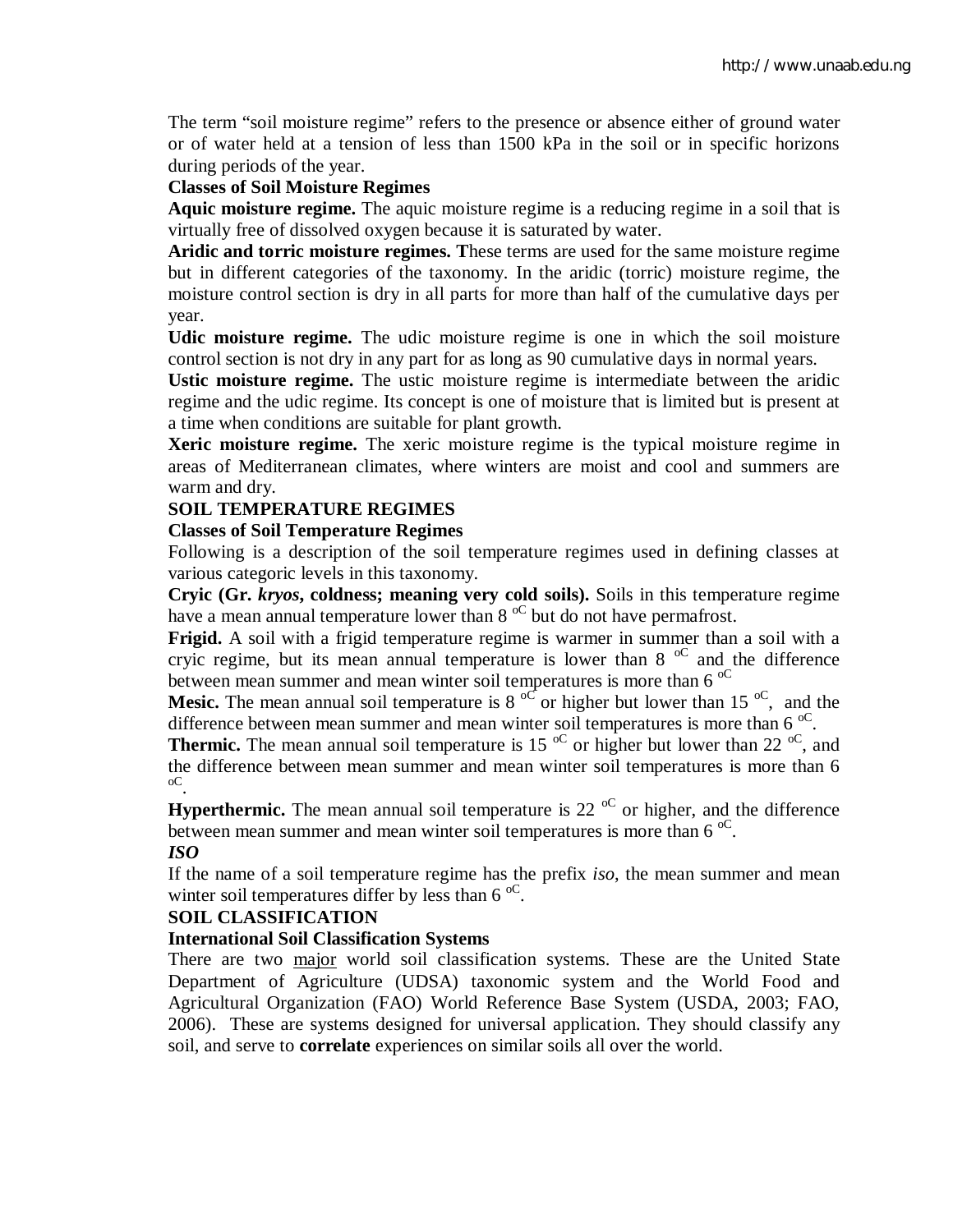The term "soil moisture regime" refers to the presence or absence either of ground water or of water held at a tension of less than 1500 kPa in the soil or in specific horizons during periods of the year.

#### **Classes of Soil Moisture Regimes**

**Aquic moisture regime.** The aquic moisture regime is a reducing regime in a soil that is virtually free of dissolved oxygen because it is saturated by water.

**Aridic and torric moisture regimes. T**hese terms are used for the same moisture regime but in different categories of the taxonomy. In the aridic (torric) moisture regime, the moisture control section is dry in all parts for more than half of the cumulative days per year.

**Udic moisture regime.** The udic moisture regime is one in which the soil moisture control section is not dry in any part for as long as 90 cumulative days in normal years.

**Ustic moisture regime.** The ustic moisture regime is intermediate between the aridic regime and the udic regime. Its concept is one of moisture that is limited but is present at a time when conditions are suitable for plant growth.

**Xeric moisture regime.** The xeric moisture regime is the typical moisture regime in areas of Mediterranean climates, where winters are moist and cool and summers are warm and dry.

### **SOIL TEMPERATURE REGIMES**

#### **Classes of Soil Temperature Regimes**

Following is a description of the soil temperature regimes used in defining classes at various categoric levels in this taxonomy.

**Cryic (Gr.** *kryos***, coldness; meaning very cold soils).** Soils in this temperature regime have a mean annual temperature lower than  $8^{\circ}$  but do not have permafrost.

**Frigid.** A soil with a frigid temperature regime is warmer in summer than a soil with a cryic regime, but its mean annual temperature is lower than 8  $\mathrm{^{oc}}$  and the difference between mean summer and mean winter soil temperatures is more than 6  $^{oC}$ 

**Mesic.** The mean annual soil temperature is 8  $^{oC}$  or higher but lower than 15  $^{oC}$ , and the difference between mean summer and mean winter soil temperatures is more than 6 $\mathrm{^{oc}}$ .

**Thermic.** The mean annual soil temperature is 15<sup>oC</sup> or higher but lower than 22<sup>oC</sup>, and the difference between mean summer and mean winter soil temperatures is more than 6 oC .

**Hyperthermic.** The mean annual soil temperature is 22 $\degree$  or higher, and the difference between mean summer and mean winter soil temperatures is more than 6 $\mathrm{^{oc}}$ . *ISO*

If the name of a soil temperature regime has the prefix *iso*, the mean summer and mean winter soil temperatures differ by less than 6 $\mathrm{^{oc}}$ .

#### **SOIL CLASSIFICATION**

#### **International Soil Classification Systems**

There are two major world soil classification systems. These are the United State Department of Agriculture (UDSA) taxonomic system and the World Food and Agricultural Organization (FAO) World Reference Base System (USDA, 2003; FAO, 2006). These are systems designed for universal application. They should classify any soil, and serve to **correlate** experiences on similar soils all over the world.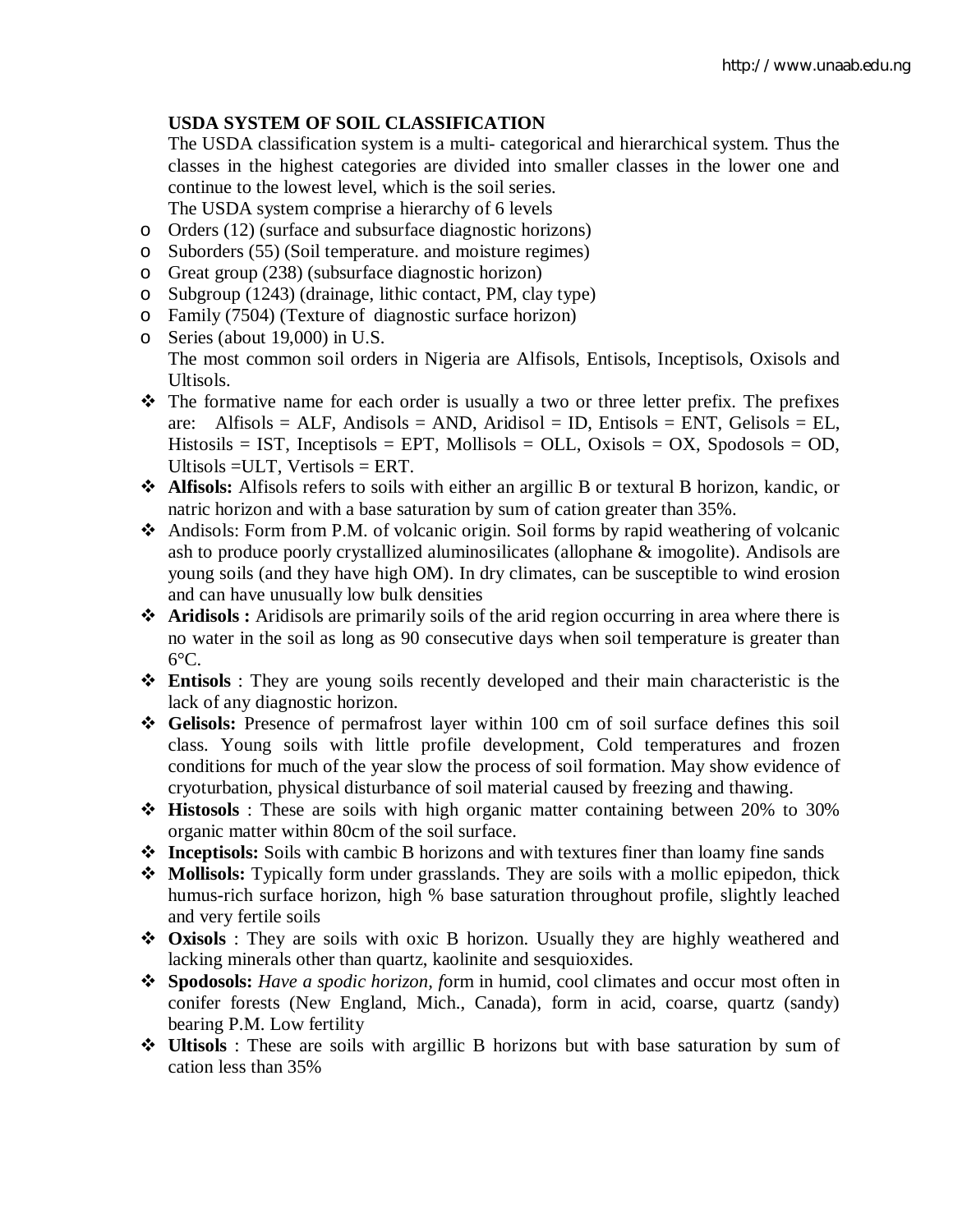# **USDA SYSTEM OF SOIL CLASSIFICATION**

The USDA classification system is a multi- categorical and hierarchical system. Thus the classes in the highest categories are divided into smaller classes in the lower one and continue to the lowest level, which is the soil series.

The USDA system comprise a hierarchy of 6 levels

- o Orders (12) (surface and subsurface diagnostic horizons)
- o Suborders (55) (Soil temperature. and moisture regimes)
- o Great group (238) (subsurface diagnostic horizon)
- o Subgroup (1243) (drainage, lithic contact, PM, clay type)
- o Family (7504) (Texture of diagnostic surface horizon)
- o Series (about 19,000) in U.S. The most common soil orders in Nigeria are Alfisols, Entisols, Inceptisols, Oxisols and Ultisols.
- $\hat{\mathbf{v}}$  The formative name for each order is usually a two or three letter prefix. The prefixes are: Alfisols = ALF, Andisols = AND, Aridisol = ID, Entisols = ENT, Gelisols = EL,  $Histosils = IST$ , Inceptisols = EPT, Mollisols = OLL, Oxisols = OX, Spodosols = OD, Ultisols =ULT, Vertisols = ERT.
- **Alfisols:** Alfisols refers to soils with either an argillic B or textural B horizon, kandic, or natric horizon and with a base saturation by sum of cation greater than 35%.
- Andisols: Form from P.M. of volcanic origin. Soil forms by rapid weathering of volcanic ash to produce poorly crystallized aluminosilicates (allophane & imogolite). Andisols are young soils (and they have high OM). In dry climates, can be susceptible to wind erosion and can have unusually low bulk densities
- **Aridisols :** Aridisols are primarily soils of the arid region occurring in area where there is no water in the soil as long as 90 consecutive days when soil temperature is greater than  $6^{\circ}C$ .
- **Entisols** : They are young soils recently developed and their main characteristic is the lack of any diagnostic horizon.
- **Gelisols:** Presence of permafrost layer within 100 cm of soil surface defines this soil class. Young soils with little profile development, Cold temperatures and frozen conditions for much of the year slow the process of soil formation. May show evidence of cryoturbation, physical disturbance of soil material caused by freezing and thawing.
- **Histosols** : These are soils with high organic matter containing between 20% to 30% organic matter within 80cm of the soil surface.
- **Inceptisols:** Soils with cambic B horizons and with textures finer than loamy fine sands
- **Mollisols:** Typically form under grasslands. They are soils with a mollic epipedon, thick humus-rich surface horizon, high % base saturation throughout profile, slightly leached and very fertile soils
- **Oxisols** : They are soils with oxic B horizon. Usually they are highly weathered and lacking minerals other than quartz, kaolinite and sesquioxides.
- **Spodosols:** *Have a spodic horizon, f*orm in humid, cool climates and occur most often in conifer forests (New England, Mich., Canada), form in acid, coarse, quartz (sandy) bearing P.M. Low fertility
- **Ultisols** : These are soils with argillic B horizons but with base saturation by sum of cation less than 35%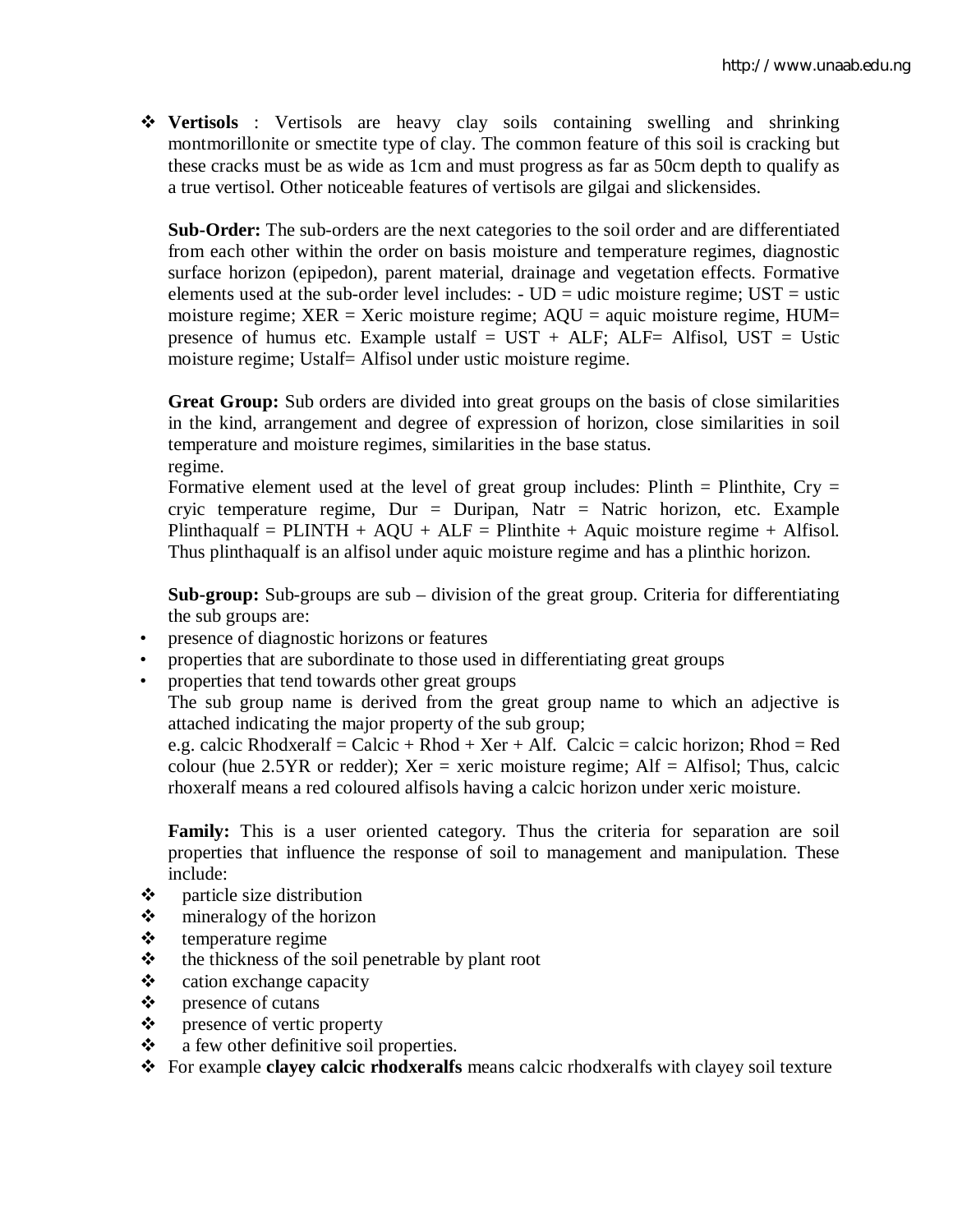**Vertisols** : Vertisols are heavy clay soils containing swelling and shrinking montmorillonite or smectite type of clay. The common feature of this soil is cracking but these cracks must be as wide as 1cm and must progress as far as 50cm depth to qualify as a true vertisol. Other noticeable features of vertisols are gilgai and slickensides.

**Sub-Order:** The sub-orders are the next categories to the soil order and are differentiated from each other within the order on basis moisture and temperature regimes, diagnostic surface horizon (epipedon), parent material, drainage and vegetation effects. Formative elements used at the sub-order level includes:  $-$  UD = udic moisture regime; UST = ustic moisture regime;  $XER = X$ eric moisture regime;  $AQU =$  aquic moisture regime,  $HUM =$ presence of humus etc. Example ustalf =  $UST + ALF$ ;  $ALF = Aff$  alfisol,  $UST = U$ stic moisture regime; Ustalf= Alfisol under ustic moisture regime.

**Great Group:** Sub orders are divided into great groups on the basis of close similarities in the kind, arrangement and degree of expression of horizon, close similarities in soil temperature and moisture regimes, similarities in the base status. regime.

Formative element used at the level of great group includes: Plinth = Plinthite,  $Cry =$ cryic temperature regime, Dur = Duripan, Natr = Natric horizon, etc. Example Plinthaqualf = PLINTH +  $AQU + ALF =$  Plinthite + Aquic moisture regime + Alfisol. Thus plinthaqualf is an alfisol under aquic moisture regime and has a plinthic horizon.

**Sub-group:** Sub-groups are sub – division of the great group. Criteria for differentiating the sub groups are:

- presence of diagnostic horizons or features
- properties that are subordinate to those used in differentiating great groups
- properties that tend towards other great groups

The sub group name is derived from the great group name to which an adjective is attached indicating the major property of the sub group;

e.g. calcic Rhodxeralf = Calcic + Rhod + Xer + Alf. Calcic = calcic horizon; Rhod = Red colour (hue  $2.5YR$  or redder); Xer = xeric moisture regime; Alf = Alfisol; Thus, calcic rhoxeralf means a red coloured alfisols having a calcic horizon under xeric moisture.

**Family:** This is a user oriented category. Thus the criteria for separation are soil properties that influence the response of soil to management and manipulation. These include:

- $\triangle$  particle size distribution
- $\div$  mineralogy of the horizon
- $\triangleleft$  temperature regime
- $\triangle$  the thickness of the soil penetrable by plant root
- $\bullet$  cation exchange capacity<br>  $\bullet$  presence of cutans
- presence of cutans
- presence of vertic property
- $\bullet$  a few other definitive soil properties.

For example **clayey calcic rhodxeralfs** means calcic rhodxeralfs with clayey soil texture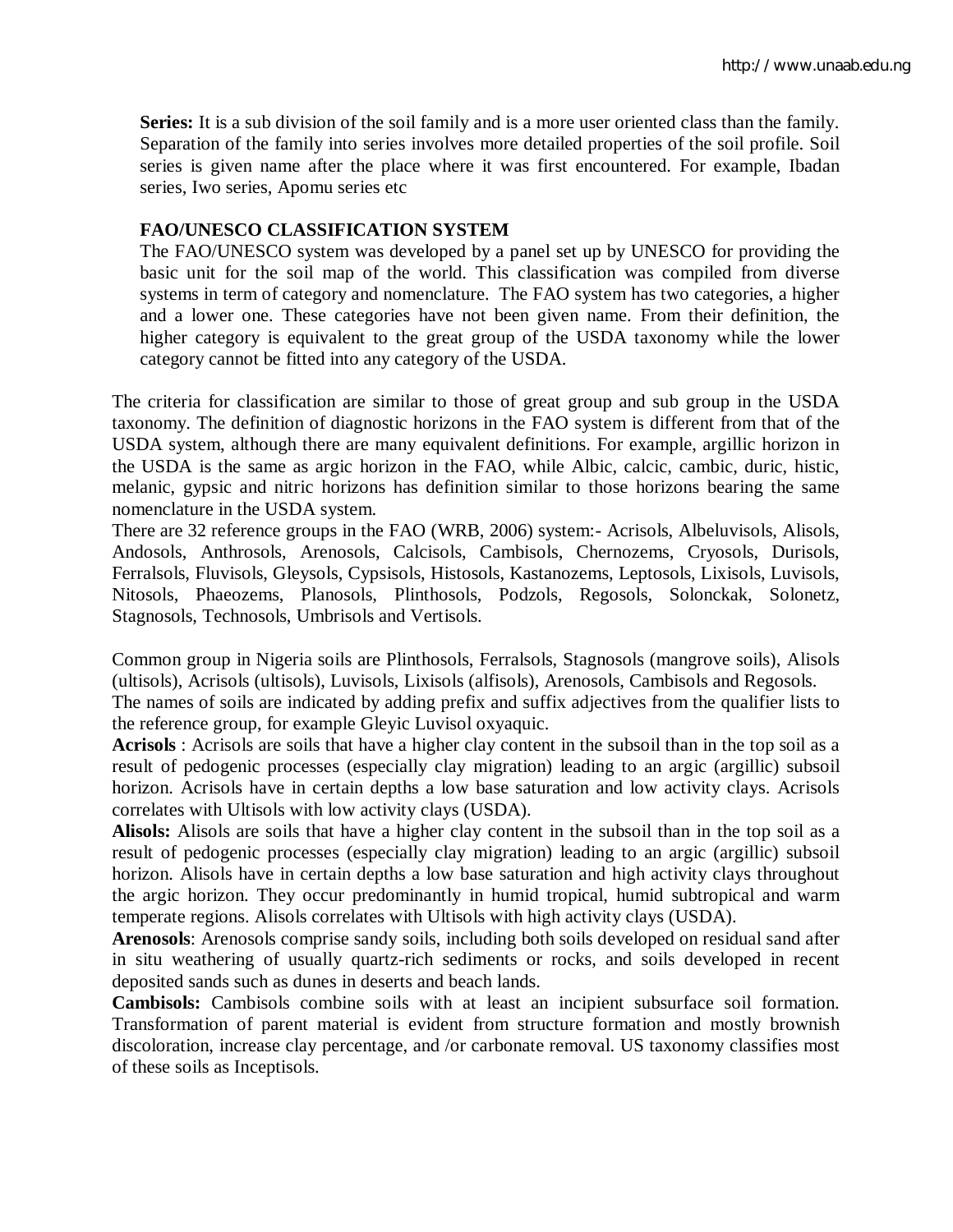**Series:** It is a sub division of the soil family and is a more user oriented class than the family. Separation of the family into series involves more detailed properties of the soil profile. Soil series is given name after the place where it was first encountered. For example, Ibadan series, Iwo series, Apomu series etc

#### **FAO/UNESCO CLASSIFICATION SYSTEM**

The FAO/UNESCO system was developed by a panel set up by UNESCO for providing the basic unit for the soil map of the world. This classification was compiled from diverse systems in term of category and nomenclature. The FAO system has two categories, a higher and a lower one. These categories have not been given name. From their definition, the higher category is equivalent to the great group of the USDA taxonomy while the lower category cannot be fitted into any category of the USDA.

The criteria for classification are similar to those of great group and sub group in the USDA taxonomy. The definition of diagnostic horizons in the FAO system is different from that of the USDA system, although there are many equivalent definitions. For example, argillic horizon in the USDA is the same as argic horizon in the FAO, while Albic, calcic, cambic, duric, histic, melanic, gypsic and nitric horizons has definition similar to those horizons bearing the same nomenclature in the USDA system.

There are 32 reference groups in the FAO (WRB, 2006) system:- Acrisols, Albeluvisols, Alisols, Andosols, Anthrosols, Arenosols, Calcisols, Cambisols, Chernozems, Cryosols, Durisols, Ferralsols, Fluvisols, Gleysols, Cypsisols, Histosols, Kastanozems, Leptosols, Lixisols, Luvisols, Nitosols, Phaeozems, Planosols, Plinthosols, Podzols, Regosols, Solonckak, Solonetz, Stagnosols, Technosols, Umbrisols and Vertisols.

Common group in Nigeria soils are Plinthosols, Ferralsols, Stagnosols (mangrove soils), Alisols (ultisols), Acrisols (ultisols), Luvisols, Lixisols (alfisols), Arenosols, Cambisols and Regosols.

The names of soils are indicated by adding prefix and suffix adjectives from the qualifier lists to the reference group, for example Gleyic Luvisol oxyaquic.

**Acrisols** : Acrisols are soils that have a higher clay content in the subsoil than in the top soil as a result of pedogenic processes (especially clay migration) leading to an argic (argillic) subsoil horizon. Acrisols have in certain depths a low base saturation and low activity clays. Acrisols correlates with Ultisols with low activity clays (USDA).

**Alisols:** Alisols are soils that have a higher clay content in the subsoil than in the top soil as a result of pedogenic processes (especially clay migration) leading to an argic (argillic) subsoil horizon. Alisols have in certain depths a low base saturation and high activity clays throughout the argic horizon. They occur predominantly in humid tropical, humid subtropical and warm temperate regions. Alisols correlates with Ultisols with high activity clays (USDA).

**Arenosols**: Arenosols comprise sandy soils, including both soils developed on residual sand after in situ weathering of usually quartz-rich sediments or rocks, and soils developed in recent deposited sands such as dunes in deserts and beach lands.

**Cambisols:** Cambisols combine soils with at least an incipient subsurface soil formation. Transformation of parent material is evident from structure formation and mostly brownish discoloration, increase clay percentage, and /or carbonate removal. US taxonomy classifies most of these soils as Inceptisols.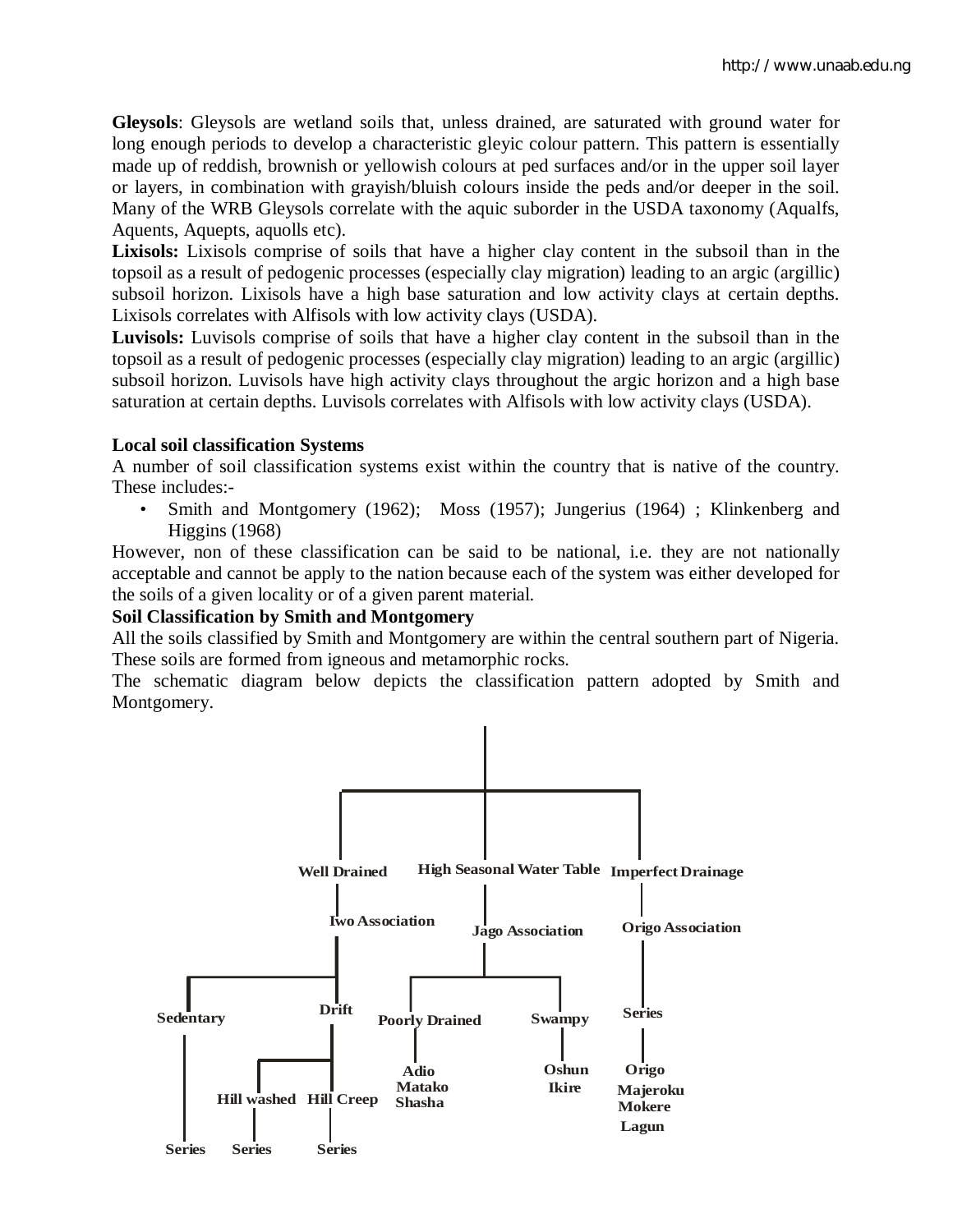**Gleysols**: Gleysols are wetland soils that, unless drained, are saturated with ground water for long enough periods to develop a characteristic gleyic colour pattern. This pattern is essentially made up of reddish, brownish or yellowish colours at ped surfaces and/or in the upper soil layer or layers, in combination with grayish/bluish colours inside the peds and/or deeper in the soil. Many of the WRB Gleysols correlate with the aquic suborder in the USDA taxonomy (Aqualfs, Aquents, Aquepts, aquolls etc).

**Lixisols:** Lixisols comprise of soils that have a higher clay content in the subsoil than in the topsoil as a result of pedogenic processes (especially clay migration) leading to an argic (argillic) subsoil horizon. Lixisols have a high base saturation and low activity clays at certain depths. Lixisols correlates with Alfisols with low activity clays (USDA).

**Luvisols:** Luvisols comprise of soils that have a higher clay content in the subsoil than in the topsoil as a result of pedogenic processes (especially clay migration) leading to an argic (argillic) subsoil horizon. Luvisols have high activity clays throughout the argic horizon and a high base saturation at certain depths. Luvisols correlates with Alfisols with low activity clays (USDA).

#### **Local soil classification Systems**

A number of soil classification systems exist within the country that is native of the country. These includes:-

• Smith and Montgomery (1962); Moss (1957); Jungerius (1964) ; Klinkenberg and Higgins (1968)

However, non of these classification can be said to be national, i.e. they are not nationally acceptable and cannot be apply to the nation because each of the system was either developed for the soils of a given locality or of a given parent material.

### **Soil Classification by Smith and Montgomery**

All the soils classified by Smith and Montgomery are within the central southern part of Nigeria. These soils are formed from igneous and metamorphic rocks.

The schematic diagram below depicts the classification pattern adopted by Smith and Montgomery.

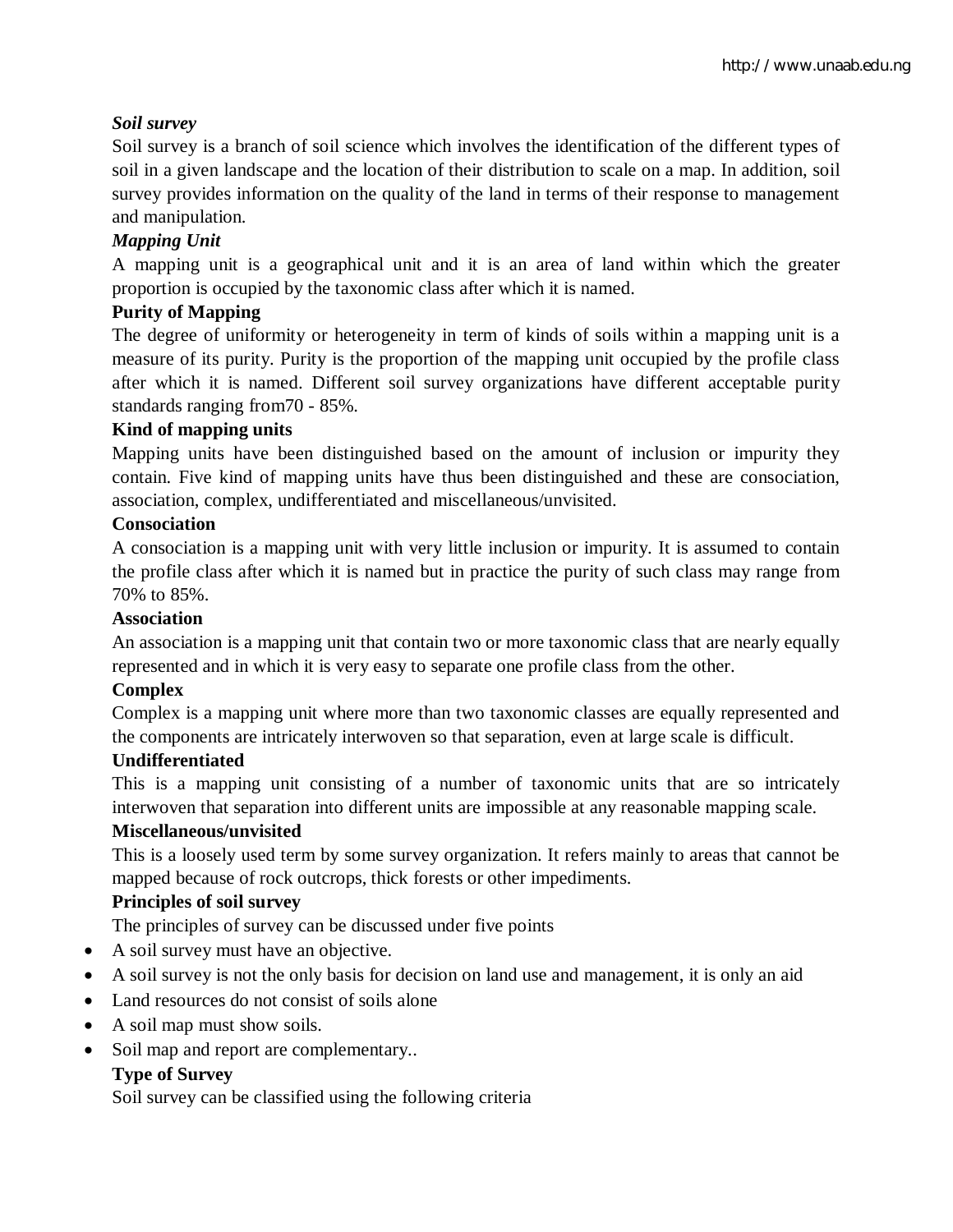# *Soil survey*

Soil survey is a branch of soil science which involves the identification of the different types of soil in a given landscape and the location of their distribution to scale on a map. In addition, soil survey provides information on the quality of the land in terms of their response to management and manipulation.

# *Mapping Unit*

A mapping unit is a geographical unit and it is an area of land within which the greater proportion is occupied by the taxonomic class after which it is named.

# **Purity of Mapping**

The degree of uniformity or heterogeneity in term of kinds of soils within a mapping unit is a measure of its purity. Purity is the proportion of the mapping unit occupied by the profile class after which it is named. Different soil survey organizations have different acceptable purity standards ranging from70 - 85%.

# **Kind of mapping units**

Mapping units have been distinguished based on the amount of inclusion or impurity they contain. Five kind of mapping units have thus been distinguished and these are consociation, association, complex, undifferentiated and miscellaneous/unvisited.

#### **Consociation**

A consociation is a mapping unit with very little inclusion or impurity. It is assumed to contain the profile class after which it is named but in practice the purity of such class may range from 70% to 85%.

#### **Association**

An association is a mapping unit that contain two or more taxonomic class that are nearly equally represented and in which it is very easy to separate one profile class from the other.

# **Complex**

Complex is a mapping unit where more than two taxonomic classes are equally represented and the components are intricately interwoven so that separation, even at large scale is difficult.

#### **Undifferentiated**

This is a mapping unit consisting of a number of taxonomic units that are so intricately interwoven that separation into different units are impossible at any reasonable mapping scale.

#### **Miscellaneous/unvisited**

This is a loosely used term by some survey organization. It refers mainly to areas that cannot be mapped because of rock outcrops, thick forests or other impediments.

# **Principles of soil survey**

The principles of survey can be discussed under five points

- A soil survey must have an objective.
- A soil survey is not the only basis for decision on land use and management, it is only an aid
- Land resources do not consist of soils alone
- A soil map must show soils.
- Soil map and report are complementary..

# **Type of Survey**

Soil survey can be classified using the following criteria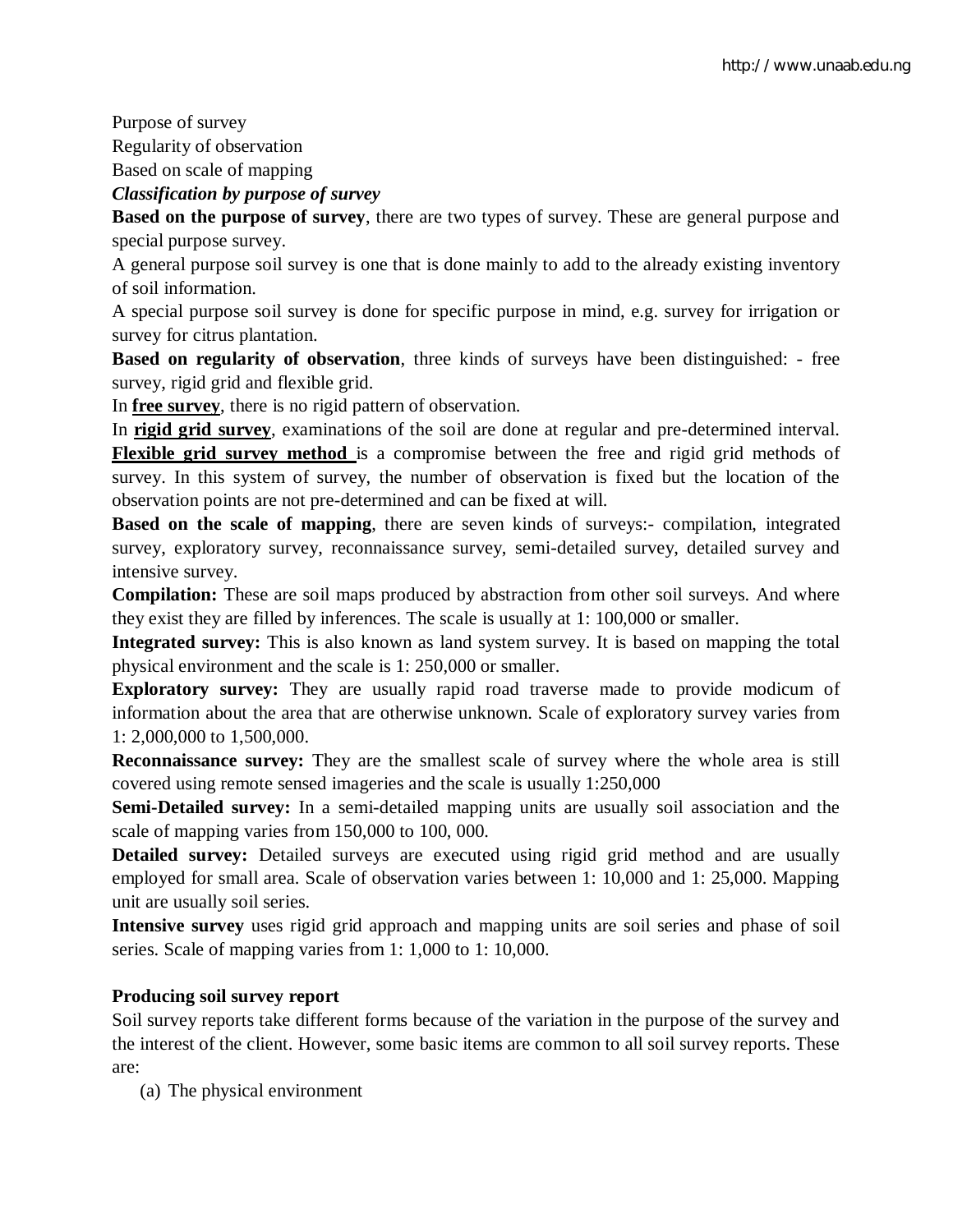Purpose of survey

Regularity of observation

Based on scale of mapping

*Classification by purpose of survey*

**Based on the purpose of survey**, there are two types of survey. These are general purpose and special purpose survey.

A general purpose soil survey is one that is done mainly to add to the already existing inventory of soil information.

A special purpose soil survey is done for specific purpose in mind, e.g. survey for irrigation or survey for citrus plantation.

**Based on regularity of observation**, three kinds of surveys have been distinguished: - free survey, rigid grid and flexible grid.

In **free survey**, there is no rigid pattern of observation.

In **rigid grid survey**, examinations of the soil are done at regular and pre-determined interval. **Flexible grid survey method** is a compromise between the free and rigid grid methods of survey. In this system of survey, the number of observation is fixed but the location of the observation points are not pre-determined and can be fixed at will.

**Based on the scale of mapping**, there are seven kinds of surveys:- compilation, integrated survey, exploratory survey, reconnaissance survey, semi-detailed survey, detailed survey and intensive survey.

**Compilation:** These are soil maps produced by abstraction from other soil surveys. And where they exist they are filled by inferences. The scale is usually at 1: 100,000 or smaller.

**Integrated survey:** This is also known as land system survey. It is based on mapping the total physical environment and the scale is 1: 250,000 or smaller.

**Exploratory survey:** They are usually rapid road traverse made to provide modicum of information about the area that are otherwise unknown. Scale of exploratory survey varies from 1: 2,000,000 to 1,500,000.

**Reconnaissance survey:** They are the smallest scale of survey where the whole area is still covered using remote sensed imageries and the scale is usually 1:250,000

**Semi-Detailed survey:** In a semi-detailed mapping units are usually soil association and the scale of mapping varies from 150,000 to 100, 000.

**Detailed survey:** Detailed surveys are executed using rigid grid method and are usually employed for small area. Scale of observation varies between 1: 10,000 and 1: 25,000. Mapping unit are usually soil series.

**Intensive survey** uses rigid grid approach and mapping units are soil series and phase of soil series. Scale of mapping varies from 1: 1,000 to 1: 10,000.

# **Producing soil survey report**

Soil survey reports take different forms because of the variation in the purpose of the survey and the interest of the client. However, some basic items are common to all soil survey reports. These are:

(a) The physical environment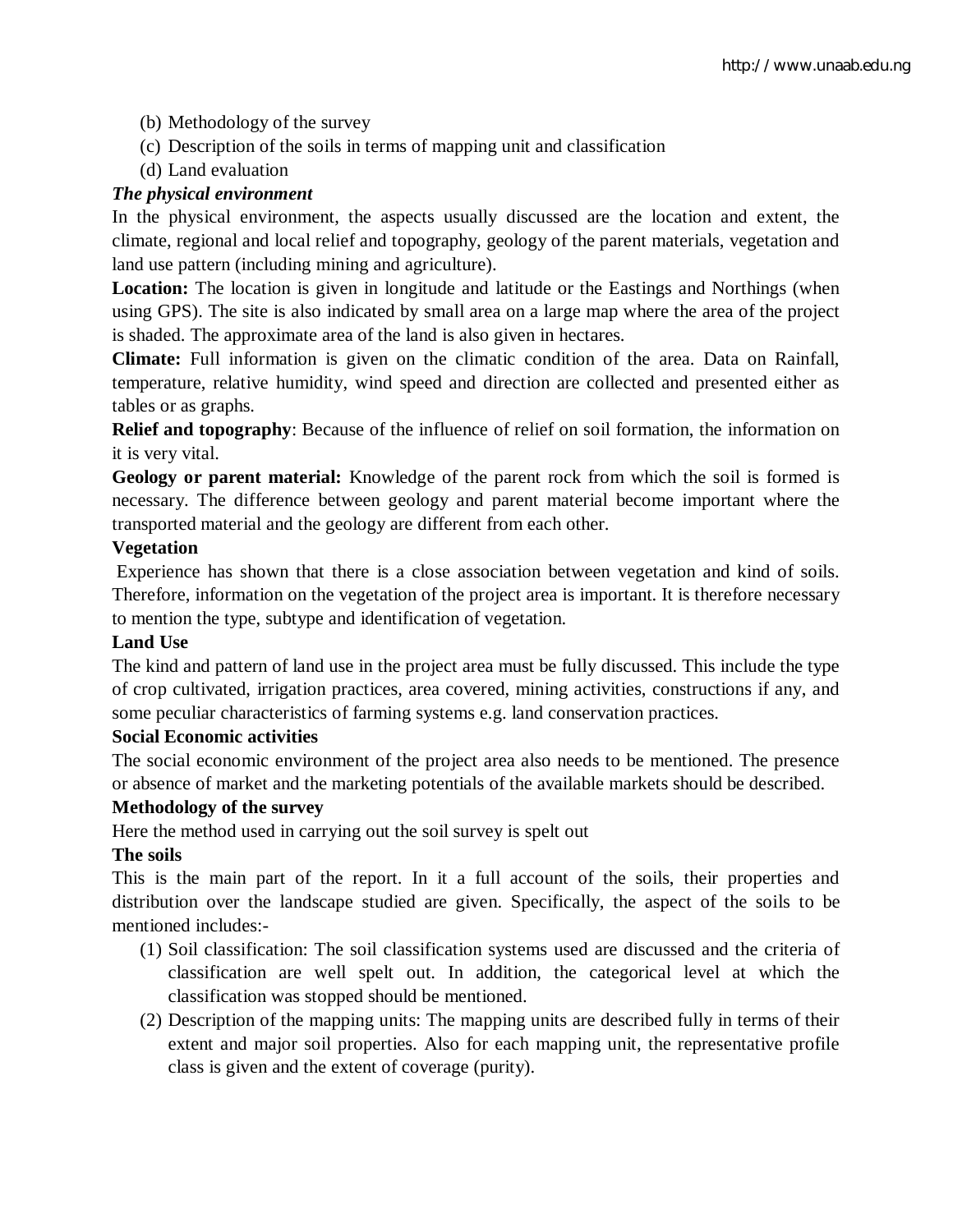- (b) Methodology of the survey
- (c) Description of the soils in terms of mapping unit and classification
- (d) Land evaluation

# *The physical environment*

In the physical environment, the aspects usually discussed are the location and extent, the climate, regional and local relief and topography, geology of the parent materials, vegetation and land use pattern (including mining and agriculture).

**Location:** The location is given in longitude and latitude or the Eastings and Northings (when using GPS). The site is also indicated by small area on a large map where the area of the project is shaded. The approximate area of the land is also given in hectares.

**Climate:** Full information is given on the climatic condition of the area. Data on Rainfall, temperature, relative humidity, wind speed and direction are collected and presented either as tables or as graphs.

**Relief and topography**: Because of the influence of relief on soil formation, the information on it is very vital.

**Geology or parent material:** Knowledge of the parent rock from which the soil is formed is necessary. The difference between geology and parent material become important where the transported material and the geology are different from each other.

#### **Vegetation**

Experience has shown that there is a close association between vegetation and kind of soils. Therefore, information on the vegetation of the project area is important. It is therefore necessary to mention the type, subtype and identification of vegetation.

# **Land Use**

The kind and pattern of land use in the project area must be fully discussed. This include the type of crop cultivated, irrigation practices, area covered, mining activities, constructions if any, and some peculiar characteristics of farming systems e.g. land conservation practices.

#### **Social Economic activities**

The social economic environment of the project area also needs to be mentioned. The presence or absence of market and the marketing potentials of the available markets should be described.

#### **Methodology of the survey**

Here the method used in carrying out the soil survey is spelt out

# **The soils**

This is the main part of the report. In it a full account of the soils, their properties and distribution over the landscape studied are given. Specifically, the aspect of the soils to be mentioned includes:-

- (1) Soil classification: The soil classification systems used are discussed and the criteria of classification are well spelt out. In addition, the categorical level at which the classification was stopped should be mentioned.
- (2) Description of the mapping units: The mapping units are described fully in terms of their extent and major soil properties. Also for each mapping unit, the representative profile class is given and the extent of coverage (purity).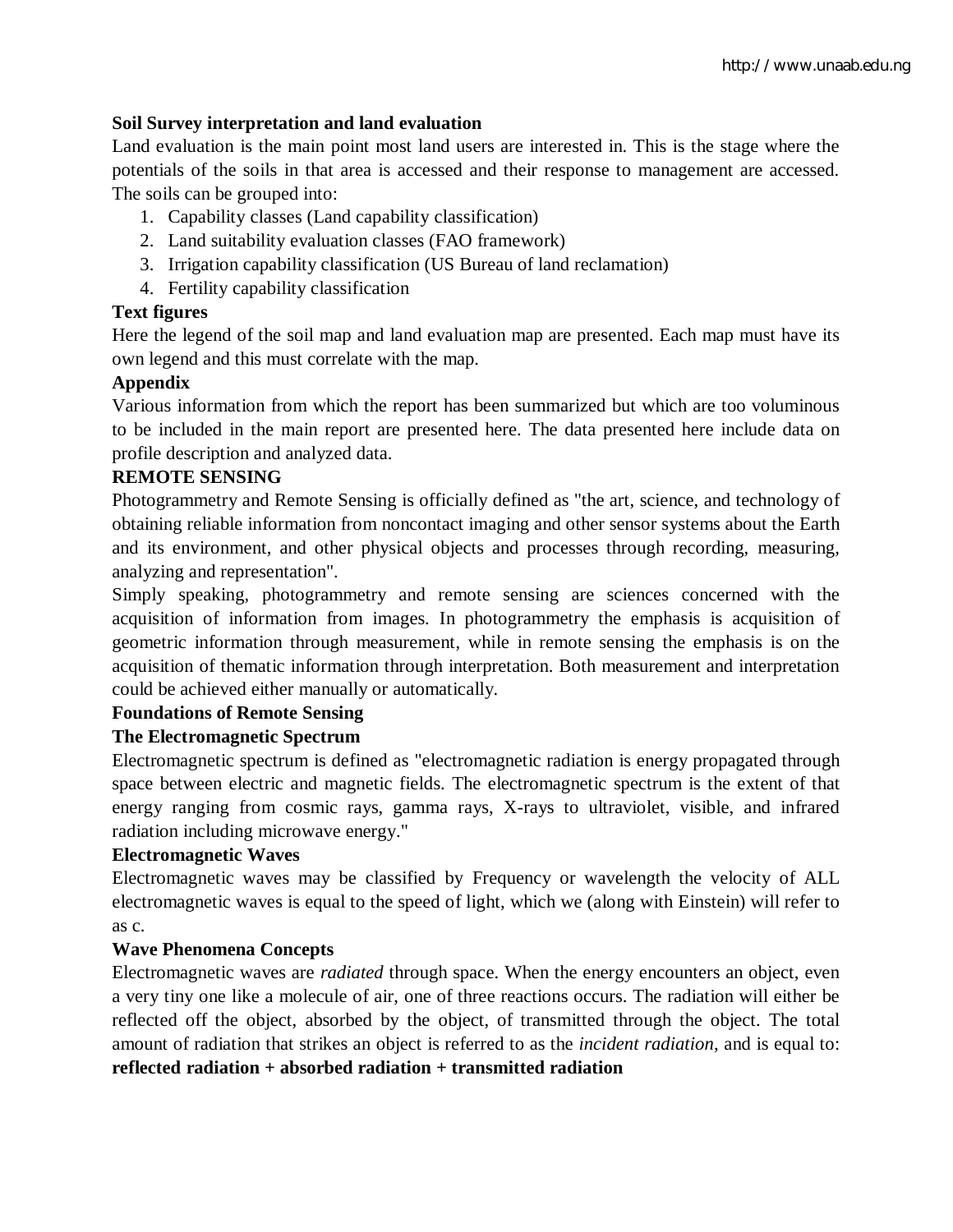# **Soil Survey interpretation and land evaluation**

Land evaluation is the main point most land users are interested in. This is the stage where the potentials of the soils in that area is accessed and their response to management are accessed. The soils can be grouped into:

- 1. Capability classes (Land capability classification)
- 2. Land suitability evaluation classes (FAO framework)
- 3. Irrigation capability classification (US Bureau of land reclamation)
- 4. Fertility capability classification

# **Text figures**

Here the legend of the soil map and land evaluation map are presented. Each map must have its own legend and this must correlate with the map.

# **Appendix**

Various information from which the report has been summarized but which are too voluminous to be included in the main report are presented here. The data presented here include data on profile description and analyzed data.

# **REMOTE SENSING**

Photogrammetry and Remote Sensing is officially defined as "the art, science, and technology of obtaining reliable information from noncontact imaging and other sensor systems about the Earth and its environment, and other physical objects and processes through recording, measuring, analyzing and representation".

Simply speaking, photogrammetry and remote sensing are sciences concerned with the acquisition of information from images. In photogrammetry the emphasis is acquisition of geometric information through measurement, while in remote sensing the emphasis is on the acquisition of thematic information through interpretation. Both measurement and interpretation could be achieved either manually or automatically.

# **Foundations of Remote Sensing**

# **The Electromagnetic Spectrum**

Electromagnetic spectrum is defined as "electromagnetic radiation is energy propagated through space between electric and magnetic fields. The electromagnetic spectrum is the extent of that energy ranging from cosmic rays, gamma rays, X-rays to ultraviolet, visible, and infrared radiation including microwave energy."

# **Electromagnetic Waves**

Electromagnetic waves may be classified by Frequency or wavelength the velocity of ALL electromagnetic waves is equal to the speed of light, which we (along with Einstein) will refer to as c.

# **Wave Phenomena Concepts**

Electromagnetic waves are *radiated* through space. When the energy encounters an object, even a very tiny one like a molecule of air, one of three reactions occurs. The radiation will either be reflected off the object, absorbed by the object, of transmitted through the object. The total amount of radiation that strikes an object is referred to as the *incident radiation*, and is equal to: **reflected radiation + absorbed radiation + transmitted radiation**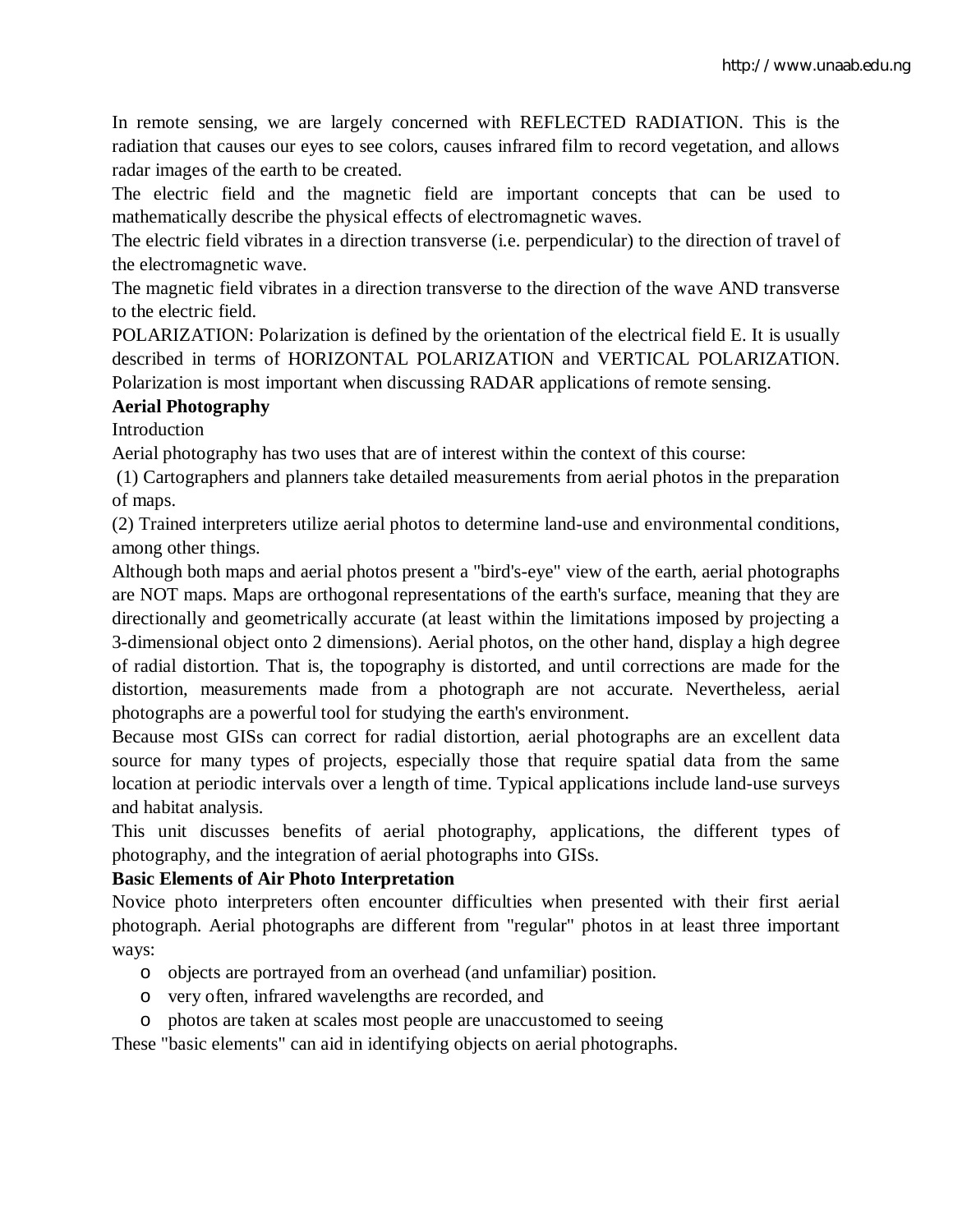In remote sensing, we are largely concerned with REFLECTED RADIATION. This is the radiation that causes our eyes to see colors, causes infrared film to record vegetation, and allows radar images of the earth to be created.

The electric field and the magnetic field are important concepts that can be used to mathematically describe the physical effects of electromagnetic waves.

The electric field vibrates in a direction transverse (i.e. perpendicular) to the direction of travel of the electromagnetic wave.

The magnetic field vibrates in a direction transverse to the direction of the wave AND transverse to the electric field.

POLARIZATION: Polarization is defined by the orientation of the electrical field E. It is usually described in terms of HORIZONTAL POLARIZATION and VERTICAL POLARIZATION. Polarization is most important when discussing RADAR applications of remote sensing.

# **Aerial Photography**

Introduction

Aerial photography has two uses that are of interest within the context of this course:

(1) Cartographers and planners take detailed measurements from aerial photos in the preparation of maps.

(2) Trained interpreters utilize aerial photos to determine land-use and environmental conditions, among other things.

Although both maps and aerial photos present a "bird's-eye" view of the earth, aerial photographs are NOT maps. Maps are orthogonal representations of the earth's surface, meaning that they are directionally and geometrically accurate (at least within the limitations imposed by projecting a 3-dimensional object onto 2 dimensions). Aerial photos, on the other hand, display a high degree of radial distortion. That is, the topography is distorted, and until corrections are made for the distortion, measurements made from a photograph are not accurate. Nevertheless, aerial photographs are a powerful tool for studying the earth's environment.

Because most GISs can correct for radial distortion, aerial photographs are an excellent data source for many types of projects, especially those that require spatial data from the same location at periodic intervals over a length of time. Typical applications include land-use surveys and habitat analysis.

This unit discusses benefits of aerial photography, applications, the different types of photography, and the integration of aerial photographs into GISs.

# **Basic Elements of Air Photo Interpretation**

Novice photo interpreters often encounter difficulties when presented with their first aerial photograph. Aerial photographs are different from "regular" photos in at least three important ways:

- o objects are portrayed from an overhead (and unfamiliar) position.
- o very often, infrared wavelengths are recorded, and
- o photos are taken at scales most people are unaccustomed to seeing

These "basic elements" can aid in identifying objects on aerial photographs.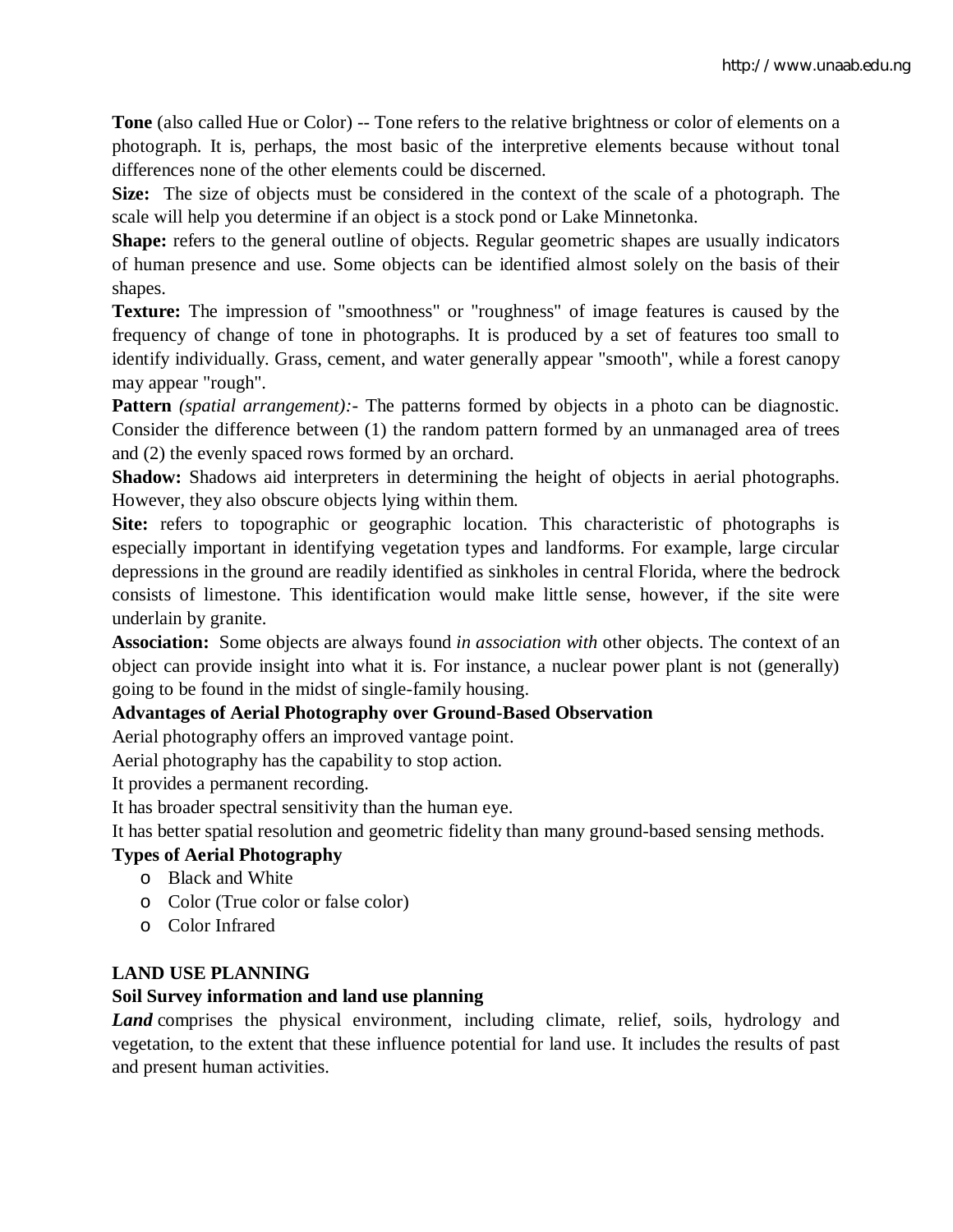**Tone** (also called Hue or Color) -- Tone refers to the relative brightness or color of elements on a photograph. It is, perhaps, the most basic of the interpretive elements because without tonal differences none of the other elements could be discerned.

**Size:** The size of objects must be considered in the context of the scale of a photograph. The scale will help you determine if an object is a stock pond or Lake Minnetonka.

**Shape:** refers to the general outline of objects. Regular geometric shapes are usually indicators of human presence and use. Some objects can be identified almost solely on the basis of their shapes.

**Texture:** The impression of "smoothness" or "roughness" of image features is caused by the frequency of change of tone in photographs. It is produced by a set of features too small to identify individually. Grass, cement, and water generally appear "smooth", while a forest canopy may appear "rough".

**Pattern** *(spatial arrangement):*- The patterns formed by objects in a photo can be diagnostic. Consider the difference between (1) the random pattern formed by an unmanaged area of trees and (2) the evenly spaced rows formed by an orchard.

**Shadow:** Shadows aid interpreters in determining the height of objects in aerial photographs. However, they also obscure objects lying within them.

**Site:** refers to topographic or geographic location. This characteristic of photographs is especially important in identifying vegetation types and landforms. For example, large circular depressions in the ground are readily identified as sinkholes in central Florida, where the bedrock consists of limestone. This identification would make little sense, however, if the site were underlain by granite.

**Association:** Some objects are always found *in association with* other objects. The context of an object can provide insight into what it is. For instance, a nuclear power plant is not (generally) going to be found in the midst of single-family housing.

# **Advantages of Aerial Photography over Ground-Based Observation**

Aerial photography offers an improved vantage point.

Aerial photography has the capability to stop action.

It provides a permanent recording.

It has broader spectral sensitivity than the human eye.

It has better spatial resolution and geometric fidelity than many ground-based sensing methods.

# **Types of Aerial Photography**

- o Black and White
- o Color (True color or false color)
- o Color Infrared

# **LAND USE PLANNING**

# **Soil Survey information and land use planning**

Land comprises the physical environment, including climate, relief, soils, hydrology and vegetation, to the extent that these influence potential for land use. It includes the results of past and present human activities.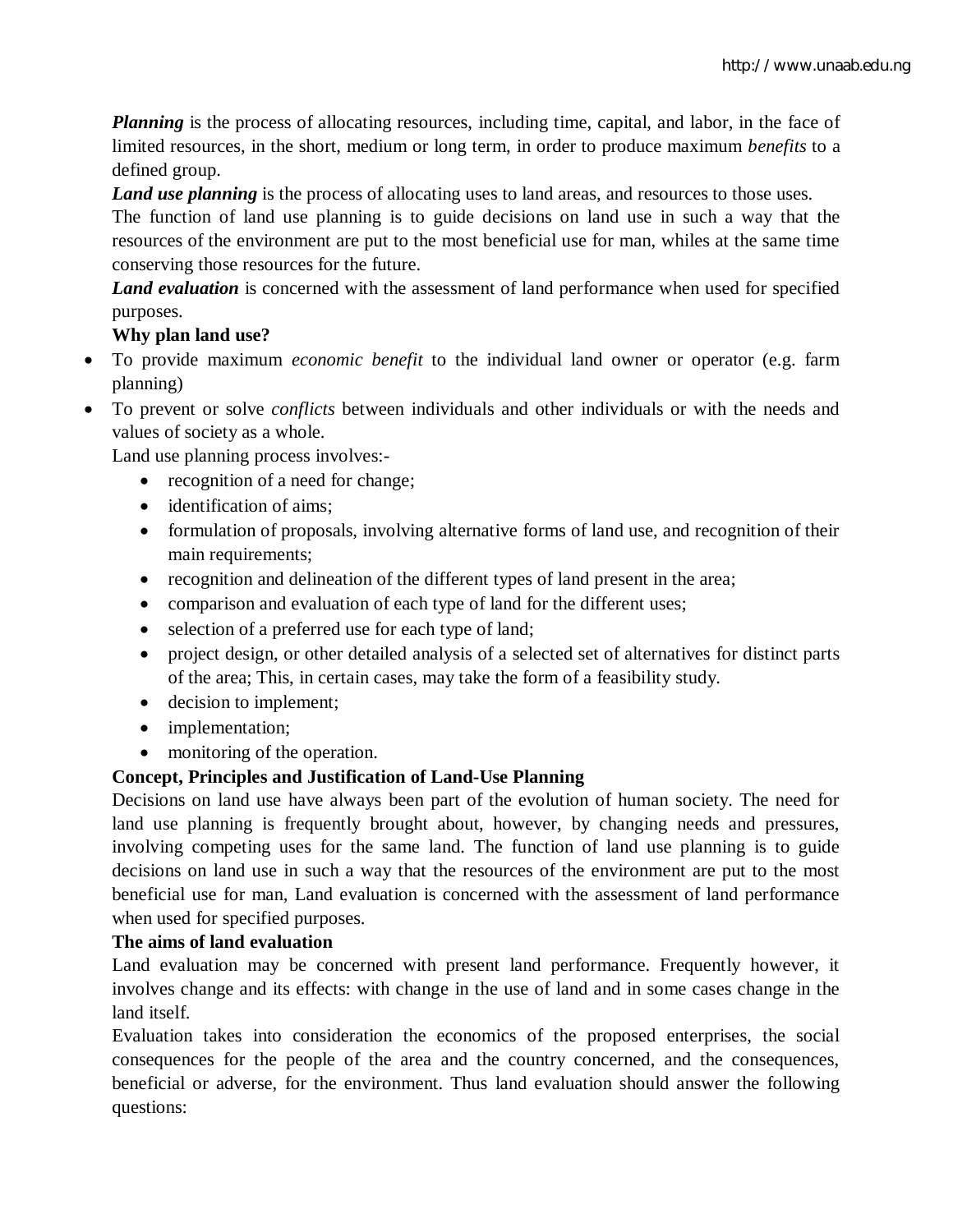*Planning* is the process of allocating resources, including time, capital, and labor, in the face of limited resources, in the short, medium or long term, in order to produce maximum *benefits* to a defined group.

Land use planning is the process of allocating uses to land areas, and resources to those uses.

The function of land use planning is to guide decisions on land use in such a way that the resources of the environment are put to the most beneficial use for man, whiles at the same time conserving those resources for the future.

*Land evaluation* is concerned with the assessment of land performance when used for specified purposes.

# **Why plan land use?**

- To provide maximum *economic benefit* to the individual land owner or operator (e.g. farm planning)
- To prevent or solve *conflicts* between individuals and other individuals or with the needs and values of society as a whole.

Land use planning process involves:-

- recognition of a need for change;
- identification of aims;
- formulation of proposals, involving alternative forms of land use, and recognition of their main requirements;
- recognition and delineation of the different types of land present in the area;
- comparison and evaluation of each type of land for the different uses;
- selection of a preferred use for each type of land;
- project design, or other detailed analysis of a selected set of alternatives for distinct parts of the area; This, in certain cases, may take the form of a feasibility study.
- decision to implement;
- implementation;
- monitoring of the operation.

# **Concept, Principles and Justification of Land-Use Planning**

Decisions on land use have always been part of the evolution of human society. The need for land use planning is frequently brought about, however, by changing needs and pressures, involving competing uses for the same land. The function of land use planning is to guide decisions on land use in such a way that the resources of the environment are put to the most beneficial use for man, Land evaluation is concerned with the assessment of land performance when used for specified purposes.

# **The aims of land evaluation**

Land evaluation may be concerned with present land performance. Frequently however, it involves change and its effects: with change in the use of land and in some cases change in the land itself.

Evaluation takes into consideration the economics of the proposed enterprises, the social consequences for the people of the area and the country concerned, and the consequences, beneficial or adverse, for the environment. Thus land evaluation should answer the following questions: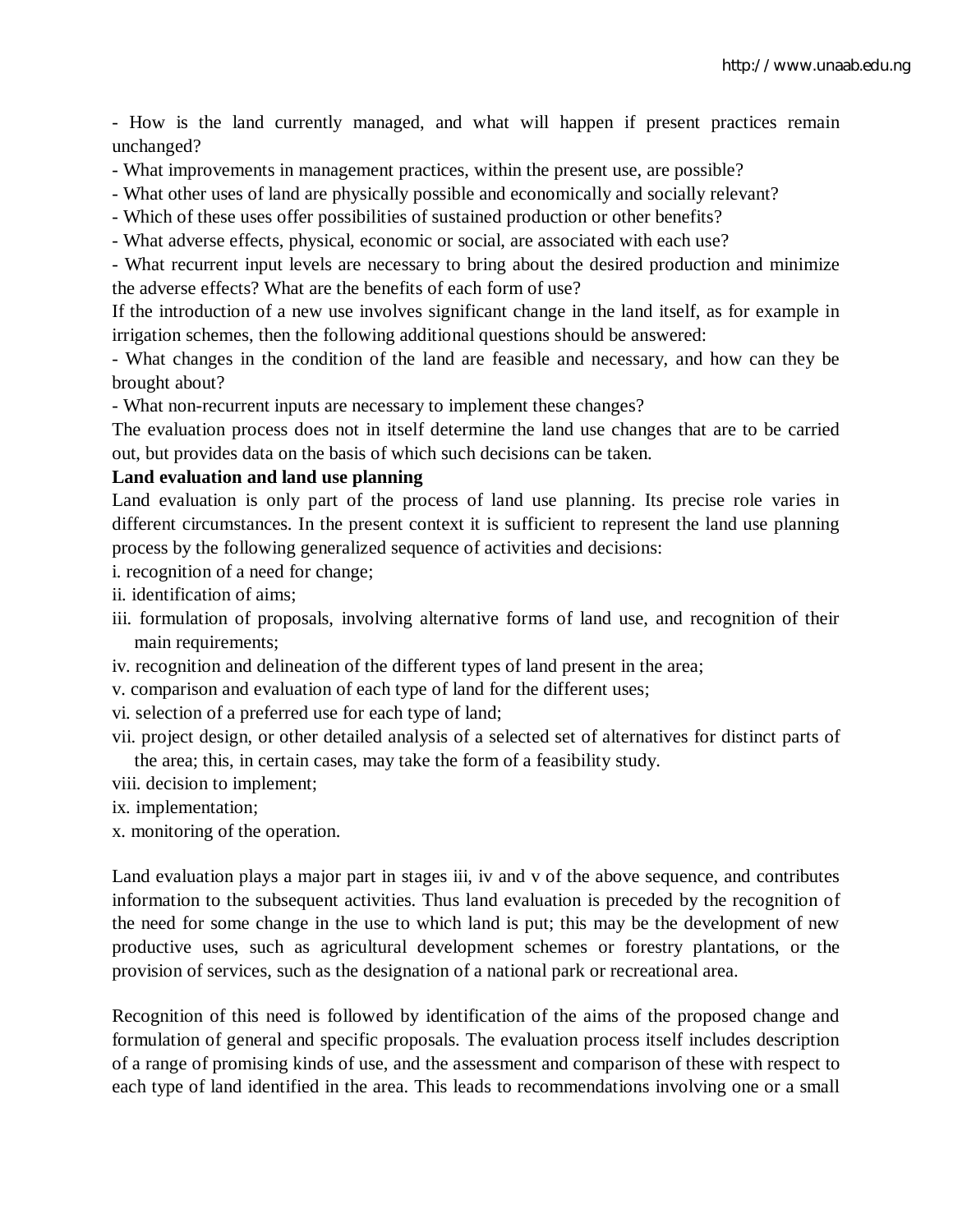- How is the land currently managed, and what will happen if present practices remain unchanged?

- What improvements in management practices, within the present use, are possible?
- What other uses of land are physically possible and economically and socially relevant?
- Which of these uses offer possibilities of sustained production or other benefits?
- What adverse effects, physical, economic or social, are associated with each use?

- What recurrent input levels are necessary to bring about the desired production and minimize the adverse effects? What are the benefits of each form of use?

If the introduction of a new use involves significant change in the land itself, as for example in irrigation schemes, then the following additional questions should be answered:

- What changes in the condition of the land are feasible and necessary, and how can they be brought about?

- What non-recurrent inputs are necessary to implement these changes?

The evaluation process does not in itself determine the land use changes that are to be carried out, but provides data on the basis of which such decisions can be taken.

# **Land evaluation and land use planning**

Land evaluation is only part of the process of land use planning. Its precise role varies in different circumstances. In the present context it is sufficient to represent the land use planning process by the following generalized sequence of activities and decisions:

- i. recognition of a need for change;
- ii. identification of aims;
- iii. formulation of proposals, involving alternative forms of land use, and recognition of their main requirements;
- iv. recognition and delineation of the different types of land present in the area;
- v. comparison and evaluation of each type of land for the different uses;
- vi. selection of a preferred use for each type of land;
- vii. project design, or other detailed analysis of a selected set of alternatives for distinct parts of the area; this, in certain cases, may take the form of a feasibility study.
- viii. decision to implement;
- ix. implementation;
- x. monitoring of the operation.

Land evaluation plays a major part in stages iii, iv and v of the above sequence, and contributes information to the subsequent activities. Thus land evaluation is preceded by the recognition of the need for some change in the use to which land is put; this may be the development of new productive uses, such as agricultural development schemes or forestry plantations, or the provision of services, such as the designation of a national park or recreational area.

Recognition of this need is followed by identification of the aims of the proposed change and formulation of general and specific proposals. The evaluation process itself includes description of a range of promising kinds of use, and the assessment and comparison of these with respect to each type of land identified in the area. This leads to recommendations involving one or a small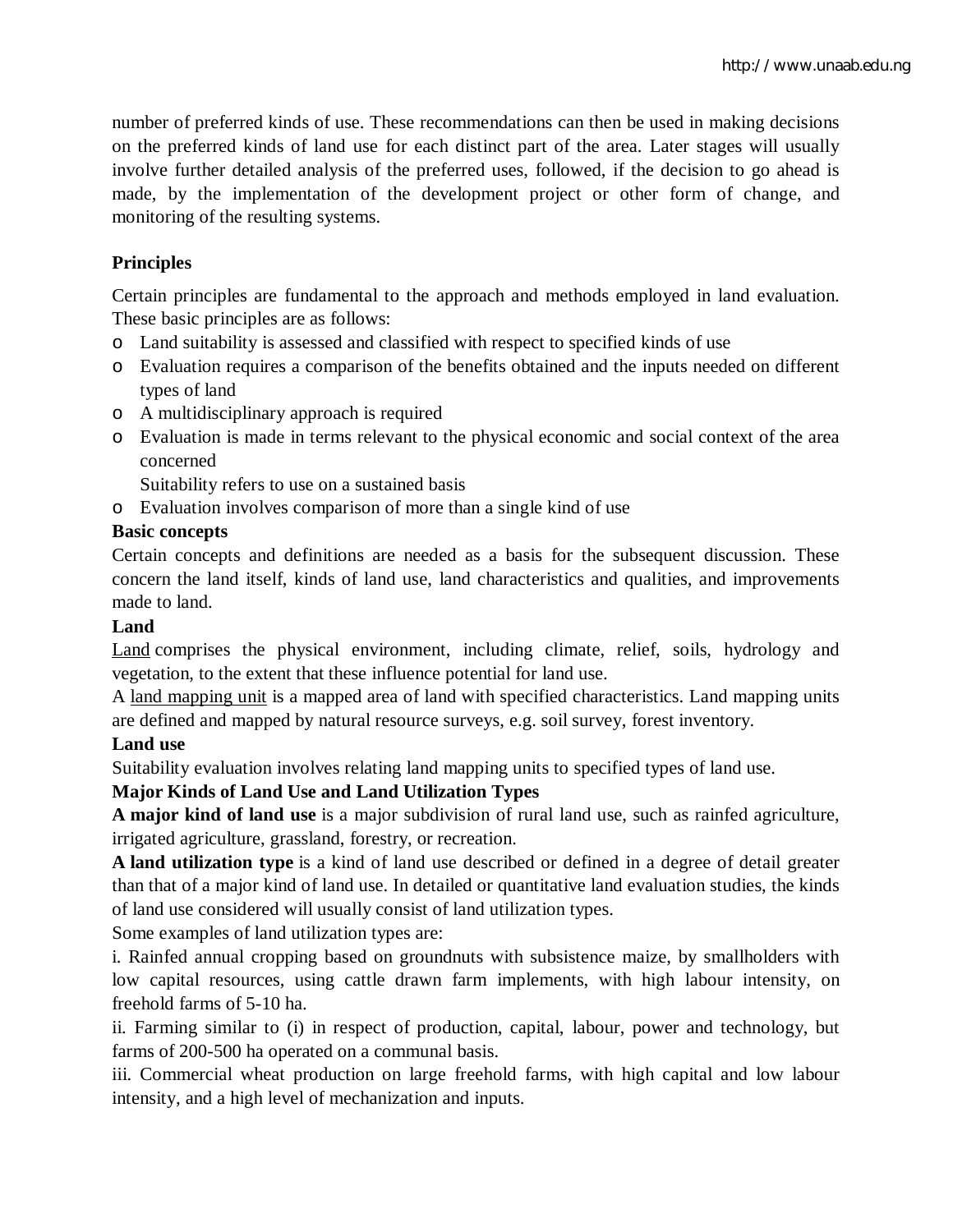number of preferred kinds of use. These recommendations can then be used in making decisions on the preferred kinds of land use for each distinct part of the area. Later stages will usually involve further detailed analysis of the preferred uses, followed, if the decision to go ahead is made, by the implementation of the development project or other form of change, and monitoring of the resulting systems.

# **Principles**

Certain principles are fundamental to the approach and methods employed in land evaluation. These basic principles are as follows:

- o Land suitability is assessed and classified with respect to specified kinds of use
- o Evaluation requires a comparison of the benefits obtained and the inputs needed on different types of land
- o A multidisciplinary approach is required
- o Evaluation is made in terms relevant to the physical economic and social context of the area concerned

Suitability refers to use on a sustained basis

o Evaluation involves comparison of more than a single kind of use

# **Basic concepts**

Certain concepts and definitions are needed as a basis for the subsequent discussion. These concern the land itself, kinds of land use, land characteristics and qualities, and improvements made to land.

# **Land**

Land comprises the physical environment, including climate, relief, soils, hydrology and vegetation, to the extent that these influence potential for land use.

A land mapping unit is a mapped area of land with specified characteristics. Land mapping units are defined and mapped by natural resource surveys, e.g. soil survey, forest inventory.

# **Land use**

Suitability evaluation involves relating land mapping units to specified types of land use.

# **Major Kinds of Land Use and Land Utilization Types**

**A major kind of land use** is a major subdivision of rural land use, such as rainfed agriculture, irrigated agriculture, grassland, forestry, or recreation.

**A land utilization type** is a kind of land use described or defined in a degree of detail greater than that of a major kind of land use. In detailed or quantitative land evaluation studies, the kinds of land use considered will usually consist of land utilization types.

Some examples of land utilization types are:

i. Rainfed annual cropping based on groundnuts with subsistence maize, by smallholders with low capital resources, using cattle drawn farm implements, with high labour intensity, on freehold farms of 5-10 ha.

ii. Farming similar to (i) in respect of production, capital, labour, power and technology, but farms of 200-500 ha operated on a communal basis.

iii. Commercial wheat production on large freehold farms, with high capital and low labour intensity, and a high level of mechanization and inputs.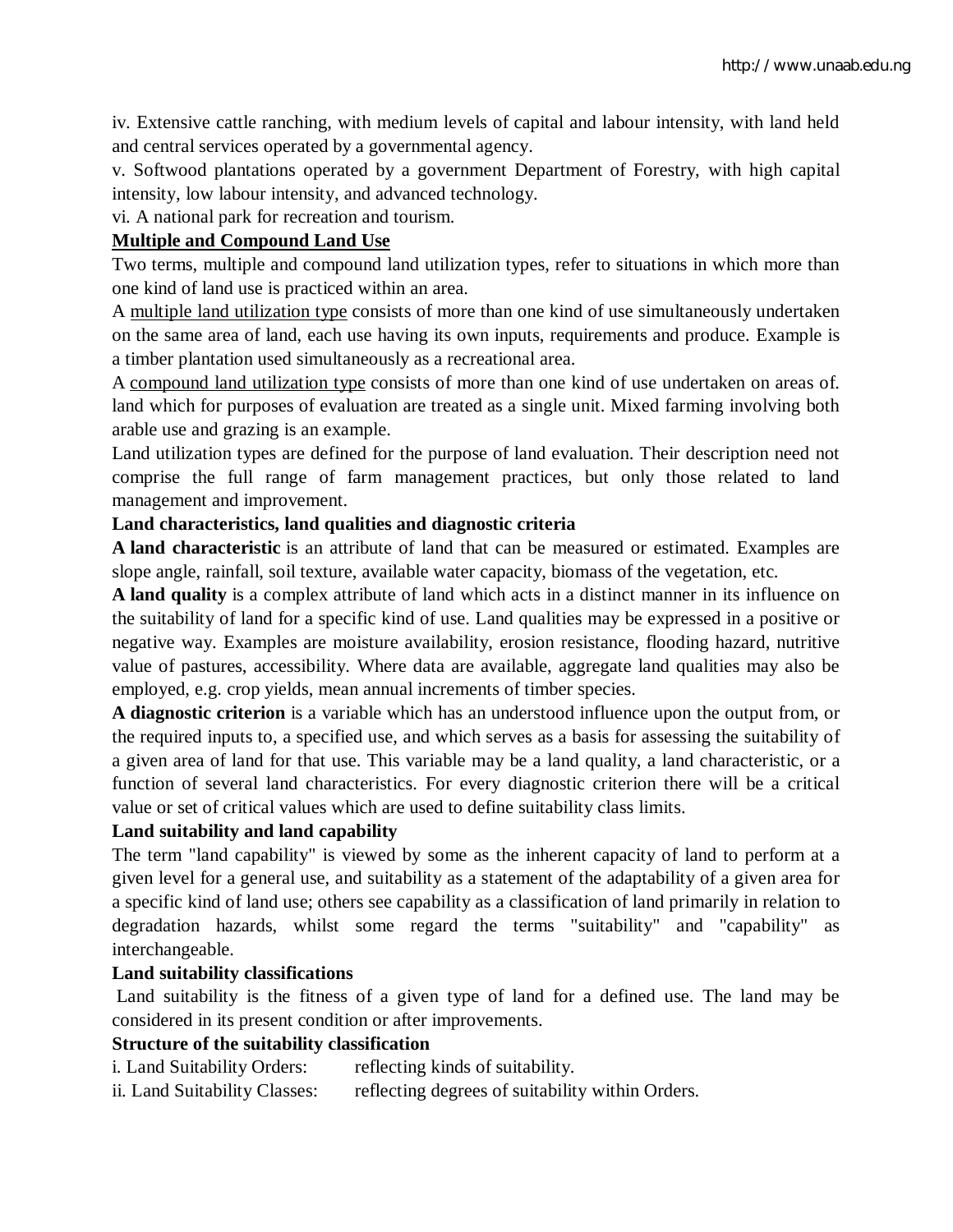iv. Extensive cattle ranching, with medium levels of capital and labour intensity, with land held and central services operated by a governmental agency.

v. Softwood plantations operated by a government Department of Forestry, with high capital intensity, low labour intensity, and advanced technology.

vi. A national park for recreation and tourism.

# **Multiple and Compound Land Use**

Two terms, multiple and compound land utilization types, refer to situations in which more than one kind of land use is practiced within an area.

A multiple land utilization type consists of more than one kind of use simultaneously undertaken on the same area of land, each use having its own inputs, requirements and produce. Example is a timber plantation used simultaneously as a recreational area.

A compound land utilization type consists of more than one kind of use undertaken on areas of. land which for purposes of evaluation are treated as a single unit. Mixed farming involving both arable use and grazing is an example.

Land utilization types are defined for the purpose of land evaluation. Their description need not comprise the full range of farm management practices, but only those related to land management and improvement.

# **Land characteristics, land qualities and diagnostic criteria**

**A land characteristic** is an attribute of land that can be measured or estimated. Examples are slope angle, rainfall, soil texture, available water capacity, biomass of the vegetation, etc.

**A land quality** is a complex attribute of land which acts in a distinct manner in its influence on the suitability of land for a specific kind of use. Land qualities may be expressed in a positive or negative way. Examples are moisture availability, erosion resistance, flooding hazard, nutritive value of pastures, accessibility. Where data are available, aggregate land qualities may also be employed, e.g. crop yields, mean annual increments of timber species.

**A diagnostic criterion** is a variable which has an understood influence upon the output from, or the required inputs to, a specified use, and which serves as a basis for assessing the suitability of a given area of land for that use. This variable may be a land quality, a land characteristic, or a function of several land characteristics. For every diagnostic criterion there will be a critical value or set of critical values which are used to define suitability class limits.

# **Land suitability and land capability**

The term "land capability" is viewed by some as the inherent capacity of land to perform at a given level for a general use, and suitability as a statement of the adaptability of a given area for a specific kind of land use; others see capability as a classification of land primarily in relation to degradation hazards, whilst some regard the terms "suitability" and "capability" as interchangeable.

# **Land suitability classifications**

Land suitability is the fitness of a given type of land for a defined use. The land may be considered in its present condition or after improvements.

# **Structure of the suitability classification**

- i. Land Suitability Orders: reflecting kinds of suitability.
- ii. Land Suitability Classes: reflecting degrees of suitability within Orders.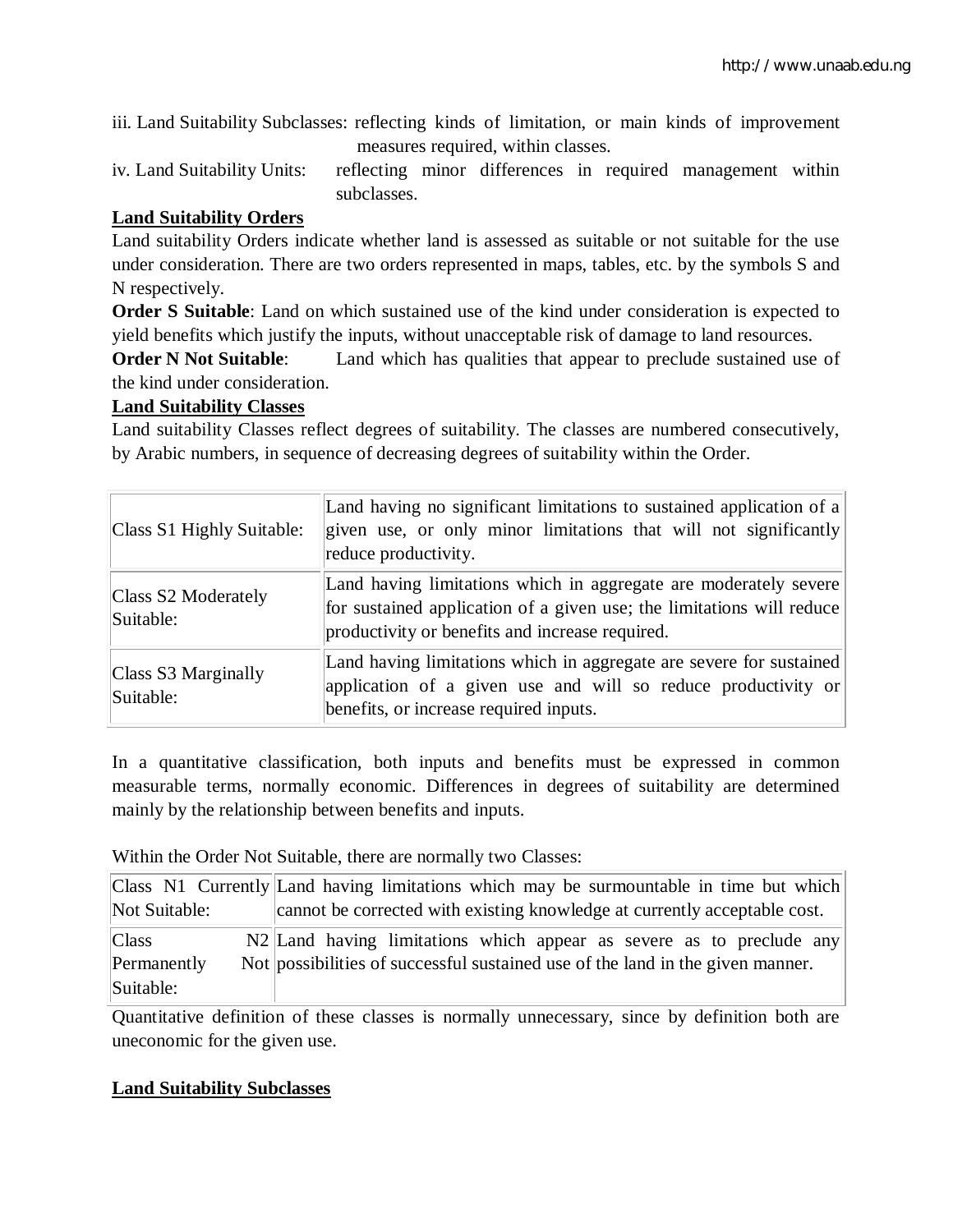iii. Land Suitability Subclasses: reflecting kinds of limitation, or main kinds of improvement measures required, within classes.

iv. Land Suitability Units: reflecting minor differences in required management within subclasses.

### **Land Suitability Orders**

Land suitability Orders indicate whether land is assessed as suitable or not suitable for the use under consideration. There are two orders represented in maps, tables, etc. by the symbols S and N respectively.

**Order S Suitable**: Land on which sustained use of the kind under consideration is expected to yield benefits which justify the inputs, without unacceptable risk of damage to land resources.

**Order N Not Suitable:** Land which has qualities that appear to preclude sustained use of the kind under consideration.

#### **Land Suitability Classes**

Land suitability Classes reflect degrees of suitability. The classes are numbered consecutively, by Arabic numbers, in sequence of decreasing degrees of suitability within the Order.

| Class S1 Highly Suitable:        | Land having no significant limitations to sustained application of a<br>given use, or only minor limitations that will not significantly<br>reduce productivity.                             |
|----------------------------------|----------------------------------------------------------------------------------------------------------------------------------------------------------------------------------------------|
| Class S2 Moderately<br>Suitable: | Land having limitations which in aggregate are moderately severe<br>for sustained application of a given use; the limitations will reduce<br>productivity or benefits and increase required. |
| Class S3 Marginally<br>Suitable: | Land having limitations which in aggregate are severe for sustained<br>application of a given use and will so reduce productivity or<br>benefits, or increase required inputs.               |

In a quantitative classification, both inputs and benefits must be expressed in common measurable terms, normally economic. Differences in degrees of suitability are determined mainly by the relationship between benefits and inputs.

Within the Order Not Suitable, there are normally two Classes:

|               |                                                                           |  | Class N1 Currently Land having limitations which may be surmountable in time but which |  |  |  |  |  |  |
|---------------|---------------------------------------------------------------------------|--|----------------------------------------------------------------------------------------|--|--|--|--|--|--|
| Not Suitable: | cannot be corrected with existing knowledge at currently acceptable cost. |  |                                                                                        |  |  |  |  |  |  |
| Class         |                                                                           |  | $N2$ Land having limitations which appear as severe as to preclude any                 |  |  |  |  |  |  |
| Permanently   |                                                                           |  | Not possibilities of successful sustained use of the land in the given manner.         |  |  |  |  |  |  |
| Suitable:     |                                                                           |  |                                                                                        |  |  |  |  |  |  |

Quantitative definition of these classes is normally unnecessary, since by definition both are uneconomic for the given use.

#### **Land Suitability Subclasses**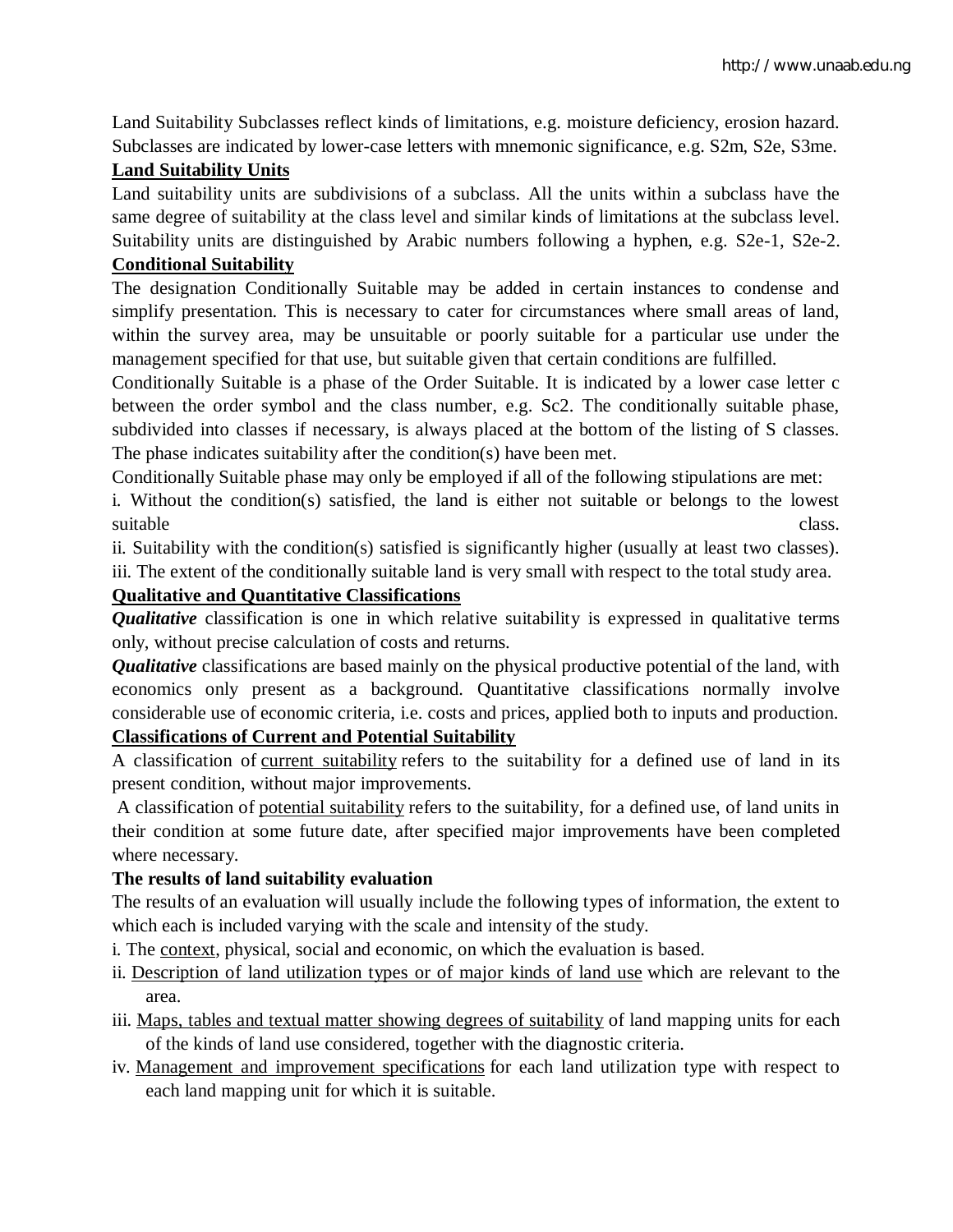Land Suitability Subclasses reflect kinds of limitations, e.g. moisture deficiency, erosion hazard. Subclasses are indicated by lower-case letters with mnemonic significance, e.g. S2m, S2e, S3me.

# **Land Suitability Units**

Land suitability units are subdivisions of a subclass. All the units within a subclass have the same degree of suitability at the class level and similar kinds of limitations at the subclass level. Suitability units are distinguished by Arabic numbers following a hyphen, e.g. S2e-1, S2e-2. **Conditional Suitability**

The designation Conditionally Suitable may be added in certain instances to condense and simplify presentation. This is necessary to cater for circumstances where small areas of land, within the survey area, may be unsuitable or poorly suitable for a particular use under the management specified for that use, but suitable given that certain conditions are fulfilled.

Conditionally Suitable is a phase of the Order Suitable. It is indicated by a lower case letter c between the order symbol and the class number, e.g. Sc2. The conditionally suitable phase, subdivided into classes if necessary, is always placed at the bottom of the listing of S classes. The phase indicates suitability after the condition(s) have been met.

Conditionally Suitable phase may only be employed if all of the following stipulations are met:

i. Without the condition(s) satisfied, the land is either not suitable or belongs to the lowest suitable class.

ii. Suitability with the condition(s) satisfied is significantly higher (usually at least two classes).

iii. The extent of the conditionally suitable land is very small with respect to the total study area.

# **Qualitative and Quantitative Classifications**

*Qualitative* classification is one in which relative suitability is expressed in qualitative terms only, without precise calculation of costs and returns.

*Qualitative* classifications are based mainly on the physical productive potential of the land, with economics only present as a background. Quantitative classifications normally involve considerable use of economic criteria, i.e. costs and prices, applied both to inputs and production.

# **Classifications of Current and Potential Suitability**

A classification of current suitability refers to the suitability for a defined use of land in its present condition, without major improvements.

A classification of potential suitability refers to the suitability, for a defined use, of land units in their condition at some future date, after specified major improvements have been completed where necessary.

# **The results of land suitability evaluation**

The results of an evaluation will usually include the following types of information, the extent to which each is included varying with the scale and intensity of the study.

- i. The context, physical, social and economic, on which the evaluation is based.
- ii. Description of land utilization types or of major kinds of land use which are relevant to the area.
- iii. Maps, tables and textual matter showing degrees of suitability of land mapping units for each of the kinds of land use considered, together with the diagnostic criteria.
- iv. Management and improvement specifications for each land utilization type with respect to each land mapping unit for which it is suitable.